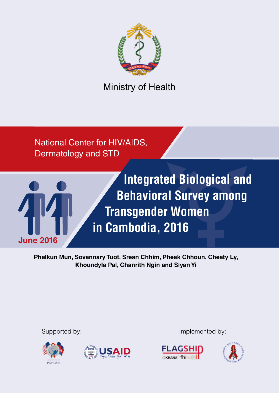

Ministry of Health

National Center for HIV/AIDS, Dermatology and STD



**Integrated Biological and Behavioral Survey among Transgender Women in Cambodia, 2016**

**Phalkun Mun, Sovannary Tuot, Srean Chhim, Pheak Chhoun, Cheaty Ly, Khoundyla Pal, Chanrith Ngin and Siyan Yi**





Supported by: Implemented by:



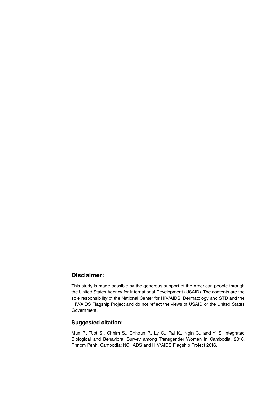#### **Disclaimer:**

This study is made possible by the generous support of the American people through the United States Agency for International Development (USAID). The contents are the sole responsibility of the National Center for HIV/AIDS, Dermatology and STD and the HIV/AIDS Flagship Project and do not reflect the views of USAID or the United States Government.

#### **Suggested citation:**

Mun P., Tuot S., Chhim S., Chhoun P., Ly C., Pal K., Ngin C., and Yi S. Integrated Biological and Behavioral Survey among Transgender Women in Cambodia, 2016. Phnom Penh, Cambodia: NCHADS and HIV/AIDS Flagship Project 2016.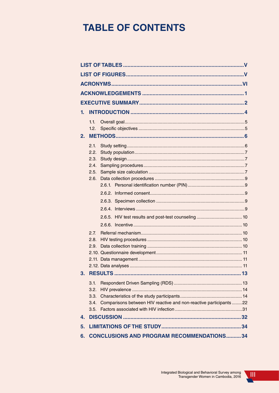# **TABLE OF CONTENTS**

| 1. |              |                                                                   |  |
|----|--------------|-------------------------------------------------------------------|--|
|    | 1.1.         |                                                                   |  |
|    | 1.2.         |                                                                   |  |
| 2. |              |                                                                   |  |
|    | 2.1.         |                                                                   |  |
|    | 2.2.         |                                                                   |  |
|    | 2.3.         |                                                                   |  |
|    | 2.4.         |                                                                   |  |
|    | 2.5.<br>2.6. |                                                                   |  |
|    |              |                                                                   |  |
|    |              |                                                                   |  |
|    |              |                                                                   |  |
|    |              |                                                                   |  |
|    |              |                                                                   |  |
|    |              |                                                                   |  |
|    | 2.7.         |                                                                   |  |
|    | 2.8.         |                                                                   |  |
|    | 2.9.         |                                                                   |  |
|    |              |                                                                   |  |
|    |              |                                                                   |  |
| 3. |              |                                                                   |  |
|    | 3.1.         |                                                                   |  |
|    | 3.2.         |                                                                   |  |
|    | 3.3.         |                                                                   |  |
|    | 3.4.         | Comparisons between HIV reactive and non-reactive participants 22 |  |
|    | 3.5.         |                                                                   |  |
| 4. |              |                                                                   |  |
| 5. |              |                                                                   |  |
|    |              | 6. CONCLUSIONS AND PROGRAM RECOMMENDATIONS34                      |  |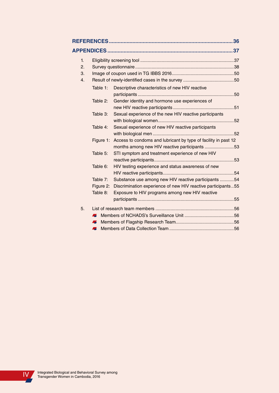|    |           |                                                                | 36 |
|----|-----------|----------------------------------------------------------------|----|
|    |           |                                                                |    |
| 1. |           |                                                                |    |
| 2. |           |                                                                |    |
| 3. |           |                                                                |    |
| 4. |           |                                                                |    |
|    | Table 1:  | Descriptive characteristics of new HIV reactive                |    |
|    |           |                                                                |    |
|    | Table 2:  | Gender identity and hormone use experiences of                 |    |
|    |           |                                                                |    |
|    | Table 3:  | Sexual experience of the new HIV reactive participants         |    |
|    |           |                                                                |    |
|    | Table 4:  | Sexual experience of new HIV reactive participants             |    |
|    |           |                                                                |    |
|    | Figure 1: | Access to condoms and lubricant by type of facility in past 12 |    |
|    |           | months among new HIV reactive participants 53                  |    |
|    | Table 5:  | STI symptom and treatment experience of new HIV                |    |
|    |           |                                                                |    |
|    | Table 6:  | HIV testing experience and status awareness of new             |    |
|    |           |                                                                |    |
|    | Table 7:  | Substance use among new HIV reactive participants 54           |    |
|    | Figure 2: | Discrimination experience of new HIV reactive participants55   |    |
|    | Table 8:  | Exposure to HIV programs among new HIV reactive                |    |
|    |           |                                                                |    |
| 5. |           |                                                                |    |
|    | 4         |                                                                |    |
|    | Æ         |                                                                |    |
|    | Æ.        |                                                                |    |
|    |           |                                                                |    |

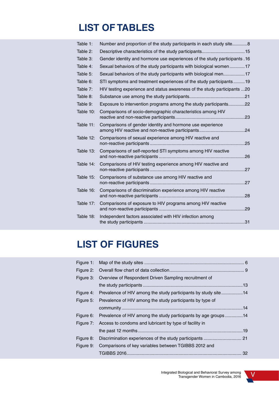# **LIST OF TABLES**

| Table 1:  | Number and proportion of the study participants in each study site8       |     |
|-----------|---------------------------------------------------------------------------|-----|
| Table 2:  |                                                                           |     |
| Table 3:  | Gender identity and hormone use experiences of the study participants .16 |     |
| Table 4:  | Sexual behaviors of the study participants with biological women17        |     |
| Table 5:  | Sexual behaviors of the study participants with biological men17          |     |
| Table 6:  | STI symptoms and treatment experiences of the study participants19        |     |
| Table 7:  | HIV testing experience and status awareness of the study participants 20  |     |
| Table 8:  |                                                                           |     |
| Table 9:  | Exposure to intervention programs among the study participants22          |     |
| Table 10: | Comparisons of socio-demographic characteristics among HIV                |     |
| Table 11: | Comparisons of gender identity and hormone use experience                 |     |
| Table 12: | Comparisons of sexual experience among HIV reactive and                   | .25 |
| Table 13: | Comparisons of self-reported STI symptoms among HIV reactive              | 26  |
| Table 14: | Comparisons of HIV testing experience among HIV reactive and              | .27 |
| Table 15: | Comparisons of substance use among HIV reactive and                       | 27  |
| Table 16: | Comparisons of discrimination experience among HIV reactive               | .28 |
| Table 17: | Comparisons of exposure to HIV programs among HIV reactive                |     |
| Table 18: | Independent factors associated with HIV infection among                   |     |
|           |                                                                           |     |

# **LIST OF FIGURES**

|           | Figure 3: Overview of Respondent Driven Sampling recruitment of           |  |
|-----------|---------------------------------------------------------------------------|--|
|           |                                                                           |  |
|           | Figure 4: Prevalence of HIV among the study participants by study site14  |  |
|           | Figure 5: Prevalence of HIV among the study participants by type of       |  |
|           |                                                                           |  |
|           | Figure 6: Prevalence of HIV among the study participants by age groups 14 |  |
|           | Figure 7: Access to condoms and lubricant by type of facility in          |  |
|           |                                                                           |  |
| Figure 8: |                                                                           |  |
| Figure 9: | Comparisons of key variables between TGIBBS 2012 and                      |  |
|           |                                                                           |  |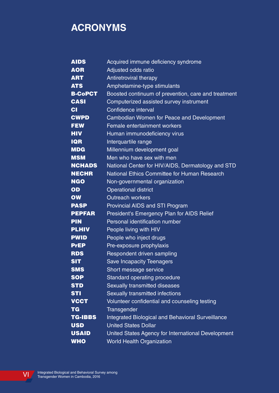# **ACRONYMS**

| <b>AIDS</b>    | Acquired immune deficiency syndrome                 |
|----------------|-----------------------------------------------------|
| <b>AOR</b>     | Adjusted odds ratio                                 |
| <b>ART</b>     | Antiretroviral therapy                              |
| <b>ATS</b>     | Amphetamine-type stimulants                         |
| <b>B-CoPCT</b> | Boosted continuum of prevention, care and treatment |
| <b>CASI</b>    | Computerized assisted survey instrument             |
| <b>CI</b>      | Confidence interval                                 |
| <b>CWPD</b>    | <b>Cambodian Women for Peace and Development</b>    |
| <b>FEW</b>     | Female entertainment workers                        |
| <b>HIV</b>     | Human immunodeficiency virus                        |
| <b>IQR</b>     | Interquartile range                                 |
| <b>MDG</b>     | Millennium development goal                         |
| <b>MSM</b>     | Men who have sex with men                           |
| <b>NCHADS</b>  | National Center for HIV/AIDS, Dermatology and STD   |
| <b>NECHR</b>   | National Ethics Committee for Human Research        |
| <b>NGO</b>     | Non-governmental organization                       |
| OD             | <b>Operational district</b>                         |
| <b>OW</b>      | <b>Outreach workers</b>                             |
| <b>PASP</b>    | Provincial AIDS and STI Program                     |
| <b>PEPFAR</b>  | President's Emergency Plan for AIDS Relief          |
| <b>PIN</b>     | Personal identification number                      |
| <b>PLHIV</b>   | People living with HIV                              |
| <b>PWID</b>    | People who inject drugs                             |
| <b>PrEP</b>    | Pre-exposure prophylaxis                            |
| <b>RDS</b>     | Respondent driven sampling                          |
| <b>SIT</b>     | <b>Save Incapacity Teenagers</b>                    |
| <b>SMS</b>     | Short message service                               |
| <b>SOP</b>     | Standard operating procedure                        |
| <b>STD</b>     | Sexually transmitted diseases                       |
| <b>STI</b>     | Sexually transmitted infections                     |
| <b>VCCT</b>    | Volunteer confidential and counseling testing       |
| <b>TG</b>      | Transgender                                         |
| <b>TG-IBBS</b> | Integrated Biological and Behavioral Surveillance   |
| <b>USD</b>     | <b>United States Dollar</b>                         |
| <b>USAID</b>   | United States Agency for International Development  |
| <b>WHO</b>     | <b>World Health Organization</b>                    |

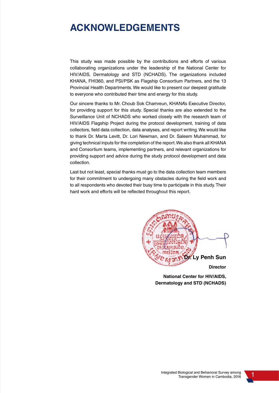# **ACKNOWLEDGEMENTS**

This study was made possible by the contributions and efforts of various collaborating organizations under the leadership of the National Center for HIV/AIDS, Dermatology and STD (NCHADS). The organizations included KHANA, FHI360, and PSI/PSK as Flagship Consortium Partners, and the 13 Provincial Health Departments. We would like to present our deepest gratitude to everyone who contributed their time and energy for this study.

Our sincere thanks to Mr. Choub Sok Chamreun, KHANA's Executive Director, for providing support for this study. Special thanks are also extended to the Surveillance Unit of NCHADS who worked closely with the research team of HIV/AIDS Flagship Project during the protocol development, training of data collectors, field data collection, data analyses, and report writing. We would like to thank Dr. Marta Levitt, Dr. Lori Newman, and Dr. Saleem Muhammad, for giving technical inputs for the completion of the report. We also thank all KHANA and Consortium teams, implementing partners, and relevant organizations for providing support and advice during the study protocol development and data collection.

Last but not least, special thanks must go to the data collection team members for their commitment to undergoing many obstacles during the field work and to all respondents who devoted their busy time to participate in this study. Their hard work and efforts will be reflected throughout this report.



**National Center for HIV/AIDS, Dermatology and STD (NCHADS)**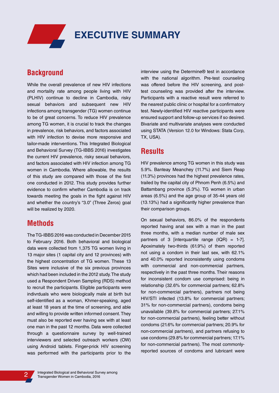# **EXECUTIVE SUMMARY**

# **Background**

While the overall prevalence of new HIV infections and mortality rate among people living with HIV (PLHIV) continue to decline in Cambodia, risky sexual behaviors and subsequent new HIV infections among transgender (TG) women continue to be of great concerns. To reduce HIV prevalence among TG women, it is crucial to track the changes in prevalence, risk behaviors, and factors associated with HIV infection to devise more responsive and tailor-made interventions. This Integrated Biological and Behavioral Survey (TG-IBBS 2016) investigates the current HIV prevalence, risky sexual behaviors, and factors associated with HIV infection among TG women in Cambodia. Where allowable, the results of this study are compared with those of the first one conducted in 2012. This study provides further evidence to confirm whether Cambodia is on track towards meeting the goals in the fight against HIV and whether the country's "3.0" (Three Zeros) goal will be realized by 2020.

## **Methods**

The TG-IBBS 2016 was conducted in December 2015 to February 2016. Both behavioral and biological data were collected from 1,375 TG women living in 13 major sites (1 capital city and 12 provinces) with the highest concentration of TG women. These 13 Sites were inclusive of the six previous provinces which had been included in the 2012 study. The study used a Respondent Driven Sampling (RDS) method to recruit the participants. Eligible participants were indivrduals who were biologically male at birth but self-identified as a woman, Khmer-speaking, aged at least 18 years at the time of screening, and able and willing to provide written informed consent. They must also be reported ever having sex with at least one man in the past 12 months. Data were collected through a questionnaire survey by well-trained interviewers and selected outreach workers (OW) using Android tablets. Finger-prick HIV screening was performed with the participants prior to the interview using the Determine® test in accordance with the national algorithm. Pre-test counseling was offered before the HIV screening, and posttest counseling was provided after the interview. Participants with a reactive result were referred to the nearest public clinic or hospital for a confirmatory test. Newly-identified HIV reactive participants were ensured support and follow-up services if so desired. Bivariate and multivariate analyses were conducted using STATA (Version 12.0 for Windows: Stata Corp, TX, USA).

## **Results**

HIV prevalence among TG women in this study was 5.9%. Banteay Meanchey (11.7%) and Siem Reap (11.3%) provinces had the highest prevalence rates, trailed by the capital city of Phnom Penh (6.5%) and Battambang province (5.3%). TG women in urban areas (6.5%) and the age group of 35-44 years old (13.13%) had a significantly higher prevalence than their comparison groups.

On sexual behaviors, 86.0% of the respondents reported having anal sex with a man in the past three months, with a median number of male sex partners of 3 [interquartile range  $(IQR) = 1-7$ ]. Apoximately two-thirds (61.9%) of them reported not using a condom in their last sex, with 62.1% and 40.0% reported inconsistently using condoms with commercial and non-commercial partners, respectively in the past three months. Their reasons for inconsistent condom use comprised: being in relationship (32.6% for commercial partners; 62.8% for non-commercial partners), partners not being HIV/STI infected (13.8% for commercial partners; 31% for non-commercial partners), condoms being unavailable (39.8% for commercial partners; 27.1% for non-commercial partners), feeling better without condoms (21.6% for commercial partners; 20.9% for non-commercial partners), and partners refusing to use condoms (29.8% for commercial partners; 17.1% for non-commercial partners). The most commonlyreported sources of condoms and lubricant were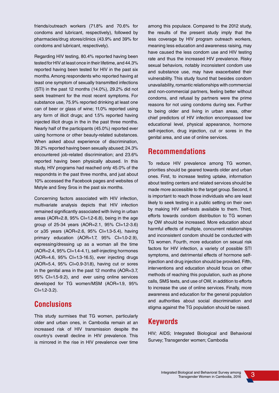friends/outreach workers (71.8% and 70.6% for condoms and lubricant, respectively), followed by pharmacies/drug stores/clinics (43.9% and 39% for condoms and lubricant, respectively).

Regarding HIV testing, 80.4% reported having been tested for HIV at least once in their lifetime, and 44.3% reported having been tested for HIV in the past six months. Among respondents who reported having at least one symptom of sexually transmitted infections (STI) in the past 12 months (14.0%), 29.2% did not seek treatment for the most recent symptoms. For substance use, 75.9% reported drinking at least one can of beer or glass of wine; 11.0% reported using any form of illicit drugs; and 1.5% reported having injected illicit drugs in the in the past three months. Nearly half of the participants (45.0%) reported ever using hormone or other beauty-related substances. When asked about experience of discrimination, 39.2% reported having been sexually abused; 24.3% encountered job-related discrimination; and 23.6% reported having been physically abused. In this study, HIV programs had reached only 45.0% of the respondnts in the past three months, and just about 10% accessed the Facebook pages and websites of Mstyle and Srey Sros in the past six months.

Concerning factors associated with HIV infection, multivariate analysis depicts that HIV infection remained significantly associated with living in urban areas (AOR=2.8, 95% CI=1.2-6.8), being in the age group of 25-34 years (AOR=2.1, 95% CI=1.2-3.6) or ≥35 years (AOR=2.6, 95% CI=1.3-5.4), having primary education (AOR=1.7, 95% CI=1.0-2.9), expressing/dressing up as a woman all the time (AOR=2.4, 95% CI=1.4-4.1), self-injecting hormones (AOR=4.6, 95% CI=1.3-16.5), ever injecting drugs (AOR=5.4, 95% CI=0.9-31.8), having cut or sores in the genital area in the past 12 months (AOR=3.7, 95% CI=1.5-9.2), and ever using online services developed for TG women/MSM (AOR=1.9, 95%  $Cl = 1.2 - 3.2$ ).

# **Conclusions**

This study surmises that TG women, particularly older and urban ones, in Cambodia remain at an increased risk of HIV transmission despite the country's overall decline in HIV prevalence. This is mirrored in the rise in HIV prevalence over time among this populace. Compared to the 2012 study, the results of the present study imply that the less coverage by HIV program outreach workers, meaning less education and awareness raising, may have caused the less condom use and HIV testing rate and thus the increased HIV prevalence. Risky sexual behaviors, notably inconsistent condom use and substance use, may have exacerbated their vulnerability. This study found that besides condom unavailability, romantic relationships with commercial and non-commercial partners, feeling better without condoms, and refusal by partners were the prime reasons for not using condoms during sex. Further to being older and living in urban areas, other chief predictors of HIV infection encompassed low educational level, physical appearance, hormone self-injection, drug injection, cut or sores in the genital area, and use of online services.

# **Recommendations**

To reduce HIV prevalence among TG women, priorities should be geared towards older and urban ones. First, to increase testing uptake, information about testing centers and related services should be made more accessible to the target group. Second, it is important to reach those individuals who are least likely to seek testing in a public setting on their own by making HIV self-tests available to them. Third, efforts towards condom distribution to TG women by OW should be increased. More education about harmful effects of multiple, concurrent relationships and inconsistent condom should be conducted with TG women. Fourth, more education on sexual risk factors for HIV infection, a variety of possible STI symptoms, and detrimental effects of hormone selfinjection and drug injection should be provided. Fifth, interventions and education should focus on other methods of reaching this population, such as phone calls, SMS texts, and use of OW, in addition to efforts to increase the use of online services. Finally, more awareness and education for the general population and authorities about social discrimination and stigma against the TG population should be raised.

# **Keywords**

HIV; AIDS; Integrated Biological and Behavioral Survey; Transgender women; Cambodia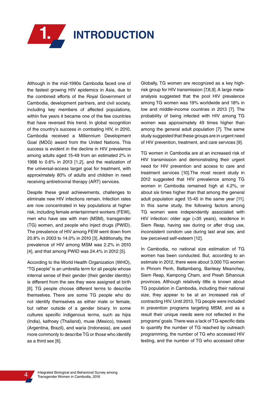

Although in the mid-1990s Cambodia faced one of the fastest growing HIV epidemics in Asia, due to the combined efforts of the Royal Government of Cambodia, development partners, and civil society, including key members of affected populations, within five years it became one of the few countries that have reversed this trend. In global recognition of the country's success in combating HIV, in 2010, Cambodia received a Millennium Development Goal (MDG) award from the United Nations. This success is evident in the decline in HIV prevalence among adults aged 15-49 from an estimated 2% in 1998 to 0.6% in 2013 [1,2], and the realization of the universal-access target goal for treatment, with approximately 80% of adults and children in need receiving antiretroviral therapy (ART) services.

Despite these great achievements, challenges to eliminate new HIV infections remain. Infection rates are now concentrated in key populations at higher risk, including female entertainment workers (FEW), men who have sex with men (MSM), transgender (TG) women, and people who inject drugs (PWID). The prevalence of HIV among FEW went down from 20.8% in 2003 to 14.0% in 2010 [3]. Additionally, the prevalence of HIV among MSM was 2.2% in 2010 [4], and that among PWID was 24.4% in 2012 [5].

According to the World Health Organization (WHO), "TG people" is an umbrella term for all people whose internal sense of their gender (their gender identity) is different from the sex they were assigned at birth [6]. TG people choose different terms to describe themselves. There are some TG people who do not identify themselves as either male or female, but rather outside of a gender binary. In some cultures specific indigenous terms, such as hijra (India), kathoey (Thailand), muxe (Mexico), travesti (Argentina, Brazil), and waria (Indonesia), are used more commonly to describe TG or those who identify as a third sex [6].

Globally, TG women are recognized as a key highrisk group for HIV transmission [7,8,9]. A large metaanalysis suggested that the pool HIV prevalence among TG women was 19% worldwide and 18% in low and middle-income countries in 2013 [7]. The probability of being infected with HIV among TG women was approximately 49 times higher than among the general adult population [7]. The same study suggested that these groups are in urgent need of HIV prevention, treatment, and care services [9].

TG women in Cambodia are at an increased risk of HIV transmission and demonstrating their urgent need for HIV prevention and access to care and treatment services [10].The most recent study in 2012 suggested that HIV prevalence among TG women in Cambodia remained high at 4.2%, or about six times higher than that among the general adult population aged 15-45 in the same year [11]. In this same study, the following factors among TG women were independently associated with HIV infection: older age (>35 years), residence in Siem Reap, having sex during or after drug use, inconsistent condom use during last anal sex, and low perceived self-esteem [12].

In Cambodia, no national size estimation of TG women has been conducted. But, according to an estimate in 2012, there were about 3,000 TG women in Phnom Penh, Battambang, Banteay Meanchey, Siem Reap, Kampong Cham, and Preah Sihanouk provinces. Although relatively little is known about TG population in Cambodia, including their national size, they appear to be at an increased risk of contracting HIV. Until 2013, TG people were included in prevention programs targeting MSM, and as a result their unique needs were not reflected in the programs' goals. There was a lack of TG-specific data to quantify the number of TG reached by outreach programming, the number of TG who accessed HIV testing, and the number of TG who accessed other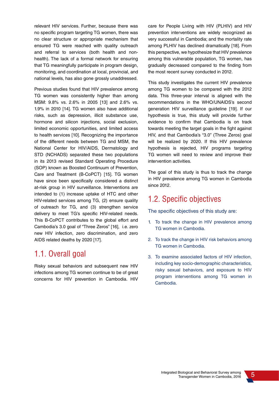relevant HIV services. Further, because there was no specific program targeting TG women, there was no clear structure or appropriate mechanism that ensured TG were reached with quality outreach and referral to services (both health and nonhealth). The lack of a formal network for ensuring that TG meaningfully participate in program design, monitoring, and coordination at local, provincial, and national levels, has also gone grossly unaddressed.

Previous studies found that HIV prevalence among TG women was consistently higher than among MSM: 9.8% vs. 2.6% in 2005 [13] and 2.6% vs. 1.9% in 2010 [14]. TG women also have additional risks, such as depression, illicit substance use, hormone and silicon injections, social exclusion, limited economic opportunities, and limited access to health services [10]. Recognizing the importance of the different needs between TG and MSM, the National Center for HIV/AIDS, Dermatology and STD (NCHADS) separated these two populations in its 2013 revised Standard Operating Procedure (SOP) known as Boosted Continuum of Prevention, Care and Treatment (B-CoPCT) [15]. TG women have since been specifically considered a distinct at-risk group in HIV surveillance. Interventions are intended to (1) increase uptake of HTC and other HIV-related services among TG, (2) ensure quality of outreach for TG, and (3) strengthen service delivery to meet TG's specific HIV-related needs. This B-CoPCT contributes to the global effort and Cambodia's 3.0 goal of "Three Zeros" [16], i.e. zero new HIV infection, zero discrimination, and zero AIDS related deaths by 2020 [17].

# 1.1. Overall goal

Risky sexual behaviors and subsequent new HIV infections among TG women continue to be of great concerns for HIV prevention in Cambodia. HIV care for People Living with HIV (PLHIV) and HIV prevention interventions are widely recognized as very successful in Cambodia; and the mortality rate among PLHIV has declined dramatically [18]. From this perspective, we hypothesize that HIV prevalence among this vulnerable population, TG women, has gradually decreased compared to the finding from the most recent survey conducted in 2012.

This study investigates the current HIV prevalence among TG women to be compared with the 2012 data. This three-year interval is aligned with the recommendations in the WHO/UNAIDS's second generation HIV surveillance guideline [19]. If our hypothesis is true, this study will provide further evidence to confirm that Cambodia is on track towards meeting the target goals in the fight against HIV, and that Cambodia's "3.0" (Three Zeros) goal will be realized by 2020. If this HIV prevalence hypothesis is rejected, HIV programs targeting TG women will need to review and improve their intervention activities.

The goal of this study is thus to track the change in HIV prevalence among TG women in Cambodia since 2012.

# 1.2. Specific objectives

The specific objectives of this study are:

- 1. To track the change in HIV prevalence among TG women in Cambodia.
- 2. To track the change in HIV risk behaviors among TG women in Cambodia.
- 3. To examine associated factors of HIV infection, including key socio-demographic characteristics, risky sexual behaviors, and exposure to HIV program interventions among TG women in Cambodia.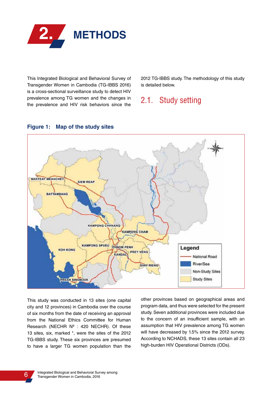

This Integrated Biological and Behavioral Survey of Transgender Women in Cambodia (TG-IBBS 2016) is a cross-sectional surveillance study to detect HIV prevalence among TG women and the changes in the prevalence and HIV risk behaviors since the 2012 TG-IBBS study. The methodology of this study is detailed below.

# 2.1. Study setting



#### **Figure 1: Map of the study sites**

This study was conducted in 13 sites (one capital city and 12 provinces) in Cambodia over the course of six months from the date of receiving an approval from the National Ethics Committee for Human Research (NECHR Nº : 420 NECHR). Of these 13 sites, six, marked \*, were the sites of the 2012 TG-IBBS study. These six provinces are presumed to have a larger TG women population than the other provinces based on geographical areas and program data, and thus were selected for the present study. Seven additional provinces were included due to the concern of an insufficient sample, with an assumption that HIV prevalence among TG women will have decreased by 1.5% since the 2012 survey. According to NCHADS, these 13 sites contain all 23 high-burden HIV Operational Districts (ODs).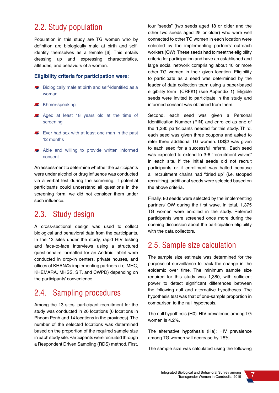# 2.2. Study population

Population in this study are TG women who by definition are biologically male at birth and selfidentify themselves as a female [6]. This entails dressing up and expressing characteristics, attitudes, and behaviors of a woman.

#### **Eligibility criteria for participation were:**

- Biologically male at birth and self-identified as a **Allen** woman
- **Khmer-speaking**
- Aged at least 18 years old at the time of screening
- Ever had sex with at least one man in the past 12 months
- Able and willing to provide written informed consent

An assessment to determine whether the participants were under alcohol or drug influence was conducted via a verbal test during the screening. If potential participants could understand all questions in the screening form, we did not consider them under such influence.

# 2.3. Study design

A cross-sectional design was used to collect biological and behavioral data from the participants. In the 13 sites under the study, rapid HIV testing and face-to-face interviews using a structured questionnaire formatted for an Android tablet were conducted in drop-in centers, private houses, and offices of KHANA's implementing partners (i.e. MHC, KHEMARA, MHSS, SIT, and CWPD) depending on the participants' convenience.

# 2.4. Sampling procedures

Among the 13 sites, participant recruitment for the study was conducted in 20 locations (6 locations in Phnom Penh and 14 locations in the provinces). The number of the selected locations was determined based on the proportion of the required sample size in each study site. Participants were recruited through a Respondent Driven Sampling (RDS) method. First,

four "seeds" (two seeds aged 18 or older and the other two seeds aged 25 or older) who were well connected to other TG women in each location were selected by the implementing partners' outreach workers (OW). These seeds had to meet the eligibility criteria for participation and have an established and large social network comprising about 10 or more other TG women in their given location. Eligibility to participate as a seed was determined by the leader of data collection team using a paper-based eligibility form (CRF#1) (see Appendix 1). Eligible seeds were invited to participate in the study and informed consent was obtained from them.

Second, each seed was given a Personal Identification Number (PIN) and enrolled as one of the 1,380 participants needed for this study. Third, each seed was given three coupons and asked to refer three additional TG women. US\$2 was given to each seed for a successful referral. Each seed was expected to extend to 3-6 "recruitment waves" in each site. If the initial seeds did not recruit participants or if enrollment was halted because all recruitment chains had "dried up" (i.e. stopped recruiting), additional seeds were selected based on the above criteria.

Finally, 80 seeds were selected by the implementing partners' OW during the first wave. In total, 1,375 TG women were enrolled in the study. Referred participants were screened once more during the opening discussion about the participation eligibility with the data collectors.

# 2.5. Sample size calculation

The sample size estimate was determined for the purpose of surveillance to track the change in the epidemic over time. The minimum sample size required for this study was 1,380, with sufficient power to detect significant differences between the following null and alternative hypotheses. The hypothesis test was that of one-sample proportion in comparison to the null hypothesis.

The null hypothesis (H0): HIV prevalence among TG women is 4.2%.

The alternative hypothesis (Ha): HIV prevalence among TG women will decrease by 1.5%.

The sample size was calculated using the following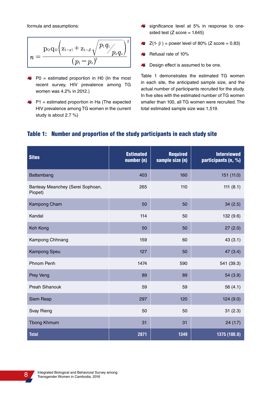formula and assumptions:

$$
\boxed{n = \frac{\text{poq}_\text{o}\Big(\textcolor{red}{\mathbf{Z}_{1-\alpha}} + \textcolor{red}{\mathbf{Z}_{1-\beta}}\sqrt{\frac{\textcolor{red}{p}_\text{1} \textcolor{red}{q}_\text{1}}{\textcolor{red}{p}_\text{o} \textcolor{red}{q}_\text{o}}\Big)^2 }{\textcolor{red}{\big(\textcolor{red}{p}_\text{1}-\textcolor{red}{p}_\text{o}\big)^{\!2}}}}
$$

- $\blacktriangleright$  P0 = estimated proportion in H0 (In the most recent survey, HIV prevalence among TG women was 4.2% in 2012.)
- $\blacktriangleright$  P1 = estimated proportion in Ha (The expected HIV prevalence among TG women in the current study is about 2.7 %)
- significance level at 5% in response to onesided test  $(Z \text{ score} = 1.645)$
- $Z(1-\beta)$  = power level of 80% (Z score = 0.83)
- Refusal rate of 10%
- **B** Design effect is assumed to be one.

Table 1 demonstrates the estimated TG women in each site, the anticipated sample size, and the actual number of participants recruited for the study. In five sites with the estimated number of TG women smaller than 100, all TG women were recruited. The total estimated sample size was 1,519.

#### Table 1: Number and proportion of the study participants in each study site

| <b>Sites</b>                                | <b>Estimated</b><br>number (n) | <b>Required</b><br>sample size (n) | <b>Interviewed</b><br>participants (n, %) |
|---------------------------------------------|--------------------------------|------------------------------------|-------------------------------------------|
| Battambang                                  | 403                            | 160                                | 151 (11.0)                                |
| Banteay Meanchey (Serei Sophoan,<br>Piopet) | 265                            | 110                                | 111 $(8.1)$                               |
| Kampong Cham                                | 50                             | 50                                 | 34(2.5)                                   |
| Kandal                                      | 114                            | 50                                 | 132 (9.6)                                 |
| Koh Kong                                    | 50                             | 50                                 | 27(2.0)                                   |
| Kampong Chhnang                             | 159                            | 60                                 | 43(3.1)                                   |
| Kampong Speu                                | 127                            | 50                                 | 47 (3.4)                                  |
| Phnom Penh                                  | 1474                           | 590                                | 541 (39.3)                                |
| Prey Veng                                   | 89                             | 89                                 | 54 (3.9)                                  |
| Preah Sihanouk                              | 59                             | 59                                 | 56 $(4.1)$                                |
| Siem Reap                                   | 297                            | 120                                | 124 (9.0)                                 |
| Svay Rieng                                  | 50                             | 50                                 | 31(2.3)                                   |
| <b>Tbong Khmum</b>                          | 31                             | 31                                 | 24(1.7)                                   |
| <b>Total</b>                                | 2871                           | 1349                               | 1375 (100.0)                              |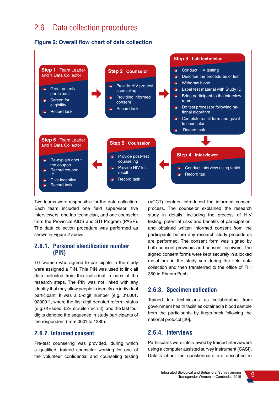# 2.6. Data collection procedures





Two teams were responsible for the data collection. Each team included one field supervisor, five interviewers, one lab technician, and one counselor from the Provincial AIDS and STI Program (PASP). The data collection procedure was performed as shown in Figure 2 above.

#### **2.6.1. Personal identification number (PIN)**

TG women who agreed to participate in the study were assigned a PIN. This PIN was used to link all data collected from this individual in each of the research steps. The PIN was not linked with any identity that may allow people to identify an individual participant. It was a 5-digit number (e.g. 010001, 020001), where the first digit denoted referral status (e.g. 01=seed, 02=recruiter/recruit), and the last four digits denoted the sequence in study participants of the respondent (from 0001 to 1380).

#### **2.6.2. Informed consent**

Pre-test counseling was provided, during which a qualified, trained counselor working for one of the volunteer confidential and counseling testing (VCCT) centers, introduced the informed consent process. The counselor explained the research study in details, including the process of HIV testing, potential risks and benefits of participation, and obtained written informed consent from the participants before any research study procedures are performed. The consent form was signed by both consent providers and consent receivers. The signed consent forms were kept securely in a locked metal box in the study van during the field data collection and then transferred to the office of FHI 360 in Phnom Penh.

### **2.6.3. Specimen collection**

Trained lab technicians as collaborators from government health facilities obtained a blood sample from the participants by finger-prick following the national protocol [20].

#### **2.6.4. Interviews**

Participants were interviewed by trained interviewers using a computer assisted survey instrument (CASI). Details about the questionnaire are described in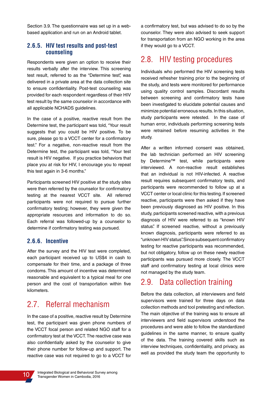Section 3.9. The questionnaire was set up in a webbased application and run on an Android tablet.

#### **2.6.5. HIV test results and post-test counseling**

Respondents were given an option to receive their results verbally after the interview. This screening test result, referred to as the "Determine test" was delivered in a private area at the data collection site to ensure confidentiality. Post-test counseling was provided for each respondent regardless of their HIV test result by the same counselor in accordance with all applicable NCHADS guidelines.

In the case of a positive, reactive result from the Determine test, the participant was told, "Your result suggests that you could be HIV positive. To be sure, please go to a VCCT center for a confirmatory test." For a negative, non-reactive result from the Determine test, the participant was told, "Your test result is HIV negative. If you practice behaviors that place you at risk for HIV, I encourage you to repeat this test again in 3-6 months."

Participants screened HIV positive at the study sites were then referred by the counselor for confirmatory testing at the nearest VCCT site. All referred participants were not required to pursue further confirmatory testing; however, they were given the appropriate resources and information to do so. Each referral was followed-up by a counselor to determine if confirmatory testing was pursued.

#### **2.6.6. Incentive**

After the survey and the HIV test were completed, each participant received up to US\$4 in cash to compensate for their time, and a package of three condoms. This amount of incentive was determined reasonable and equivalent to a typical meal for one person and the cost of transportation within five kilometers.

# 2.7. Referral mechanism

In the case of a positive, reactive result by Determine test, the participant was given phone numbers of the VCCT focal person and related NGO staff for a confirmatory test at the VCCT. The reactive case was also confidentially asked by the counselor to give their phone number for follow-up and support. The reactive case was not required to go to a VCCT for

a confirmatory test, but was advised to do so by the counselor. They were also advised to seek support for transportation from an NGO working in the area if they would go to a VCCT.

# 2.8. HIV testing procedures

Individuals who performed the HIV screening tests received refresher training prior to the beginning of the study, and tests were monitored for performance using quality control samples. Discordant results between screening and confirmatory tests have been investigated to elucidate potential causes and minimize potential erroneous results. In this situation, study participants were retested. In the case of human error, individuals performing screening tests were retrained before resuming activities in the study.

After a written informed consent was obtained, the lab technician performed an HIV screening by Determine™ test, while participants were interviewed. A non-reactive result establishes that an individual is not HIV-infected. A reactive result requires subsequent confirmatory tests, and participants were recommended to follow up at a VCCT center or local clinic for this testing. If screened reactive, participants were then asked if they have been previously diagnosed as HIV positive. In this study, participants screened reactive, with a previous diagnosis of HIV were referred to as "known HIV status". If screened reactive, without a previously known diagnosis, participants were referred to as "unknown HIV status". Since subsequent confirmatory testing for reactive participants was recommended, but not obligatory, follow up on these newly reactive participants was pursued more closely. The VCCT staff and confirmatory testing at local clinics were not managed by the study team.

# 2.9. Data collection training

Before the data collection, all interviewers and field supervisors were trained for three days on data collection methods and tool pretesting and reflection. The main objective of the training was to ensure all interviewers and field supervisors understood the procedures and were able to follow the standardized guidelines in the same manner, to ensure quality of the data. The training covered skills such as interview techniques, confidentiality, and privacy, as well as provided the study team the opportunity to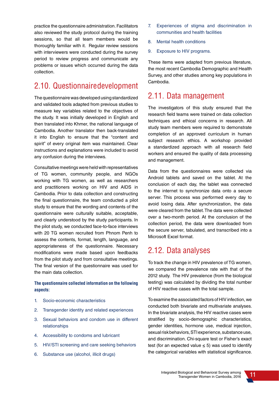practice the questionnaire administration. Facilitators also reviewed the study protocol during the training sessions, so that all team members would be thoroughly familiar with it. Regular review sessions with interviewers were conducted during the survey period to review progress and communicate any problems or issues which occurred during the data collection.

# 2.10. Questionnaire development

The questionnaire was developed using standardized and validated tools adapted from previous studies to measure key variables related to the objectives of the study. It was initially developed in English and then translated into Khmer, the national language of Cambodia. Another translator then back-translated it into English to ensure that the "content and spirit" of every original item was maintained. Clear instructions and explanations were included to avoid any confusion during the interviews.

Consultative meetings were held with representatives of TG women, community people, and NGOs working with TG women, as well as researchers and practitioners working on HIV and AIDS in Cambodia. Prior to data collection and constructing the final questionnaire, the team conducted a pilot study to ensure that the wording and contents of the questionnaire were culturally suitable, acceptable, and clearly understood by the study participants. In the pilot study, we conducted face-to-face interviews with 20 TG women recruited from Phnom Penh to assess the contents, format, length, language, and appropriateness of the questionnaire. Necessary modifications were made based upon feedbacks from the pilot study and from consultative meetings. The final version of the questionnaire was used for the main data collection.

#### **The questionnaire collected information on the following aspects:**

- 1. Socio-economic characteristics
- 2. Transgender identity and related experiences
- 3. Sexual behaviors and condom use in different relationships
- 4. Accessibility to condoms and lubricant
- 5. HIV/STI screening and care seeking behaviors
- 6. Substance use (alcohol, illicit drugs)
- 7. Experiences of stigma and discrimination in communities and health facilities
- 8. Mental health conditions
- 9. Exposure to HIV programs.

These items were adapted from previous literature, the most recent Cambodia Demographic and Health Survey, and other studies among key populations in Cambodia.

# 2.11. Data management

The investigators of this study ensured that the research field teams were trained on data collection techniques and ethical concerns in research. All study team members were required to demonstrate completion of an approved curriculum in human subject research ethics. A workshop provided a standardized approach with all research field workers and ensured the quality of data processing and management.

Data from the questionnaires were collected via Android tablets and saved on the tablet. At the conclusion of each day, the tablet was connected to the internet to synchronize data onto a secure server. This process was performed every day to avoid losing data. After synchronization, the data were cleared from the tablet. The data were collected over a two-month period. At the conclusion of the collection period, the data were downloaded from the secure server, tabulated, and transcribed into a Microsoft Excel format.

# 2.12. Data analyses

To track the change in HIV prevalence of TG women, we compared the prevalence rate with that of the 2012 study. The HIV prevalence (from the biological testing) was calculated by dividing the total number of HIV reactive cases with the total sample.

To examine the associated factors of HIV infection, we conducted both bivariate and multivariate analyses. In the bivariate analysis, the HIV reactive cases were stratified by socio-demographic characteristics, gender identities, hormone use, medical injection, sexual risk behaviors, STI experience, substance use, and discrimination. Chi-square test or Fisher's exact test (for an expected value  $\leq$  5) was used to identify the categorical variables with statistical significance.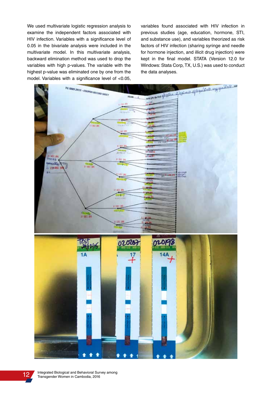We used multivariate logistic regression analysis to examine the independent factors associated with HIV infection. Variables with a significance level of 0.05 in the bivariate analysis were included in the multivariate model. In this multivariate analysis, backward elimination method was used to drop the variables with high p-values. The variable with the highest p-value was eliminated one by one from the model. Variables with a significance level of <0.05, variables found associated with HIV infection in previous studies (age, education, hormone, STI, and substance use), and variables theorized as risk factors of HIV infection (sharing syringe and needle for hormone injection, and illicit drug injection) were kept in the final model. STATA (Version 12.0 for Windows: Stata Corp, TX, U.S.) was used to conduct the data analyses.

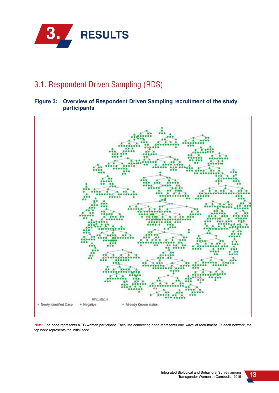

# 3.1. Respondent Driven Sampling (RDS)

### **Figure 3: Overview of Respondent Driven Sampling recruitment of the study participants**



Note: One node represents a TG woman participant. Each line connecting node represents one 'wave' of recruitment. Of each network, the top node represents the initial seed.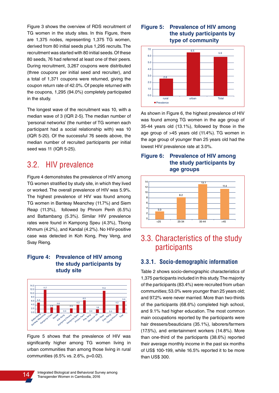Figure 3 shows the overview of RDS recruitment of TG women in the study sites. In this Figure, there are 1,375 nodes, representing 1,375 TG women, derived from 80 initial seeds plus 1,295 recruits. The recruitment was started with 80 initial seeds. Of these 80 seeds, 76 had referred at least one of their peers. During recruitment, 3,267 coupons were distributed (three coupons per initial seed and recruiter), and a total of 1,371 coupons were returned, giving the coupon return rate of 42.0%. Of people returned with the coupons, 1,295 (94.0%) completely participated in the study.

The longest wave of the recruitment was 10, with a median wave of 3 (IQR 2-5). The median number of 'personal networks' (the number of TG women each participant had a social relationship with) was 10 (IQR 5-20). Of the successful 76 seeds above, the median number of recruited participants per initial seed was 11 (IQR 5-25).

# 3.2. HIV prevalence

Figure 4 demonstrates the prevalence of HIV among TG women stratified by study site, in which they lived or worked. The overall prevalence of HIV was 5.9%. The highest prevalence of HIV was found among TG women in Banteay Meanchey (11.7%) and Siem Reap (11.3%), followed by Phnom Penh (6.5%) and Battambang (5.3%). Similar HIV prevalence rates were found in Kampong Speu (4.3%), Tbong Khmum (4.2%), and Kandal (4.2%). No HIV-positive case was detected in Koh Kong, Prey Veng, and Svay Rieng.

#### **Figure 4: Prevalence of HIV among the study participants by study site**



Figure 5 shows that the prevalence of HIV was significantly higher among TG women living in urban communities than among those living in rural communities (6.5% vs. 2.6%, p=0.02).

#### **Figure 5: Prevalence of HIV among the study participants by type of community**



As shown in Figure 6, the highest prevalence of HIV was found among TG women in the age group of 35-44 years old (13.1%), followed by those in the age group of >45 years old (11.4%). TG women in the age group of younger than 25 years old had the lowest HIV prevalence rate at 3.0%.





# 3.3. Characteristics of the study participants

#### **3.3.1. Socio-demographic information**

Table 2 shows socio-demographic characteristics of 1,375 participants included in this study. The majority of the participants (83.4%) were recruited from urban communities; 53.0% were younger than 25 years old; and 97.2% were never married. More than two-thirds of the participants (68.6%) completed high school, and 9.1% had higher education. The most common main occupations reported by the participants were hair dressers/beauticians (35.1%), laborers/farmers (17.5%), and entertainment workers (14.8%). More than one-third of the participants (38.6%) reported their average monthly income in the past six months of US\$ 100-199, while 16.5% reported it to be more than US\$ 300.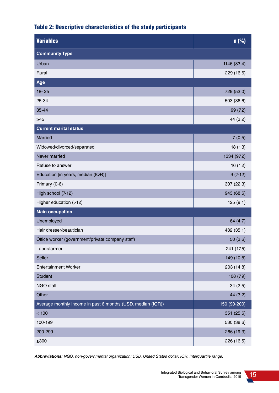## Table 2: Descriptive characteristics of the study participants

| <b>Variables</b>                                            | n (%)        |
|-------------------------------------------------------------|--------------|
| <b>Community Type</b>                                       |              |
| Urban                                                       | 1146 (83.4)  |
| Rural                                                       | 229 (16.6)   |
| Age                                                         |              |
| $18 - 25$                                                   | 729 (53.0)   |
| 25-34                                                       | 503 (36.6)   |
| 35-44                                                       | 99 (7.2)     |
| $\geq 45$                                                   | 44 (3.2)     |
| <b>Current marital status</b>                               |              |
| Married                                                     | 7(0.5)       |
| Widowed/divorced/separated                                  | 18(1.3)      |
| Never married                                               | 1334 (97.2)  |
| Refuse to answer                                            | 16(1.2)      |
| Education [in years, median (IQR)]                          | $9(7-12)$    |
| Primary (0-6)                                               | 307 (22.3)   |
| High school (7-12)                                          | 943 (68.6)   |
| Higher education (>12)                                      | 125(9.1)     |
| <b>Main occupation</b>                                      |              |
| Unemployed                                                  | 64 (4.7)     |
| Hair dresser/beautician                                     | 482 (35.1)   |
| Office worker (government/private company staff)            | 50(3.6)      |
| Labor/farmer                                                | 241 (17.5)   |
| Seller                                                      | 149 (10.8)   |
| <b>Entertainment Worker</b>                                 | 203 (14.8)   |
| <b>Student</b>                                              | 108(7.9)     |
| NGO staff                                                   | 34(2.5)      |
| Other                                                       | 44 (3.2)     |
| Average monthly income in past 6 months (USD, median (IQR)) | 150 (90-200) |
| < 100                                                       | 351 (25.6)   |
| 100-199                                                     | 530 (38.6)   |
| 200-299                                                     | 266 (19.3)   |
| $\geq 300$                                                  | 226 (16.5)   |

**Abbreviations:** NGO, non-governmental organization; USD, United States dollar; IQR, interquartile range.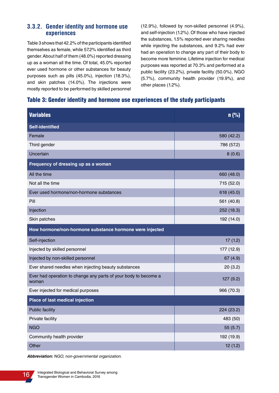### **3.3.2. Gender identity and hormone use experiences**

Table 3 shows that 42.2% of the participants identified themselves as female, while 57.2% identified as third gender. About half of them (48.0%) reported dressing up as a woman all the time. Of total, 45.0% reported ever used hormone or other substances for beauty purposes such as pills (45.0%), injection (18.3%), and skin patches (14.0%). The injections were mostly reported to be performed by skilled personnel (12.9%), followed by non-skilled personnel (4.9%), and self-injection (1.2%). Of those who have injected the substances, 1.5% reported ever sharing needles while injecting the substances, and 9.2% had ever had an operation to change any part of their body to become more feminine. Lifetime injection for medical purposes was reported at 70.3% and performed at a public facility (23.2%), private facility (50.0%), NGO (5.7%), community health provider (19.9%), and other places (1.2%).

#### Table 3: Gender identity and hormone use experiences of the study participants

| <b>Variables</b>                                                         | n(%)       |  |
|--------------------------------------------------------------------------|------------|--|
| <b>Self-identified</b>                                                   |            |  |
| Female                                                                   | 580 (42.2) |  |
| Third gender                                                             | 786 (57.2) |  |
| Uncertain                                                                | 8(0.6)     |  |
| Frequency of dressing up as a woman                                      |            |  |
| All the time                                                             | 660 (48.0) |  |
| Not all the time                                                         | 715 (52.0) |  |
| Ever used hormone/non-hormone substances                                 | 618 (45.0) |  |
| Pill                                                                     | 561 (40.8) |  |
| Injection                                                                | 252 (18.3) |  |
| Skin patches                                                             | 192 (14.0) |  |
| How hormone/non-hormone substance hormone were injected                  |            |  |
| Self-injection                                                           | 17(1.2)    |  |
| Injected by skilled personnel                                            | 177 (12.9) |  |
| Injected by non-skilled personnel                                        | 67(4.9)    |  |
| Ever shared needles when injecting beauty substances                     | 20(3.2)    |  |
| Ever had operation to change any parts of your body to become a<br>woman | 127 (9.2)  |  |
| Ever injected for medical purposes                                       | 966 (70.3) |  |
| Place of last medical injection                                          |            |  |
| <b>Public facility</b>                                                   | 224 (23.2) |  |
| Private facility                                                         | 483 (50)   |  |
| <b>NGO</b>                                                               | 55 (5.7)   |  |
| Community health provider                                                | 192 (19.9) |  |
| Other                                                                    | 12(1.2)    |  |

**Abbreviation:** NGO, non-governmental organization.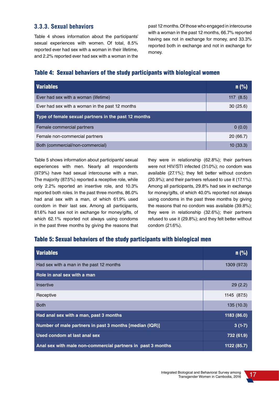### **3.3.3. Sexual behaviors**

Table 4 shows information about the participants' sexual experiences with women. Of total, 8.5% reported ever had sex with a woman in their lifetime, and 2.2% reported ever had sex with a woman in the past 12 months. Of those who engaged in intercourse with a woman in the past 12 months, 66.7% reported having sex not in exchange for money, and 33.3% reported both in exchange and not in exchange for money.

### Table 4: Sexual behaviors of the study participants with biological women

| <b>Variables</b>                                     | $n$ (%)     |  |
|------------------------------------------------------|-------------|--|
| Ever had sex with a woman (lifetime)                 | 117 $(8.5)$ |  |
| Ever had sex with a woman in the past 12 months      | 30(25.6)    |  |
| Type of female sexual partners in the past 12 months |             |  |
| Female commercial partners                           | 0(0.0)      |  |
| Female non-commercial partners                       | 20(66.7)    |  |
| Both (commercial/non-commercial)                     | 10(33.3)    |  |

Table 5 shows information about participants' sexual experiences with men. Nearly all respondents (97.9%) have had sexual intercourse with a man. The majority (87.5%) reported a receptive role, while only 2.2% reported an insertive role, and 10.3% reported both roles. In the past three months, 86.0% had anal sex with a man, of which 61.9% used condom in their last sex. Among all participants, 81.6% had sex not in exchange for money/gifts, of which 62.1% reported not always using condoms in the past three months by giving the reasons that they were in relationship (62.8%); their partners were not HIV/STI infected (31.0%); no condom was available (27.1%); they felt better without condom (20.9%); and their partners refused to use it (17.1%). Among all participants, 29.8% had sex in exchange for money/gifts, of which 40.0% reported not always using condoms in the past three months by giving the reasons that no condom was available (39.8%); they were in relationship (32.6%); their partners refused to use it (29.8%); and they felt better without condom (21.6%).

### Table 5: Sexual behaviors of the study participants with biological men

| <b>Variables</b>                                            | $n$ (%)     |
|-------------------------------------------------------------|-------------|
| Had sex with a man in the past 12 months                    | 1309 (97.3) |
| Role in anal sex with a man                                 |             |
| Insertive                                                   | 29(2.2)     |
| Receptive                                                   | 1145 (87.5) |
| <b>Both</b>                                                 | 135(10.3)   |
| Had anal sex with a man, past 3 months                      | 1183 (86.0) |
| Number of male partners in past 3 months [median (IQR)]     | $3(1-7)$    |
| Used condom at last anal sex                                | 732 (61.9)  |
| Anal sex with male non-commercial partners in past 3 months | 1122 (85.7) |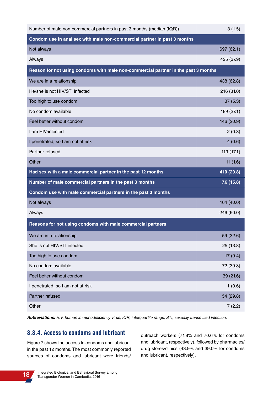| Number of male non-commercial partners in past 3 months (median (IQR))             | $3(1-5)$   |  |
|------------------------------------------------------------------------------------|------------|--|
| Condom use in anal sex with male non-commercial partner in past 3 months           |            |  |
| Not always                                                                         | 697 (62.1) |  |
| Always                                                                             | 425 (37.9) |  |
| Reason for not using condoms with male non-commercial partner in the past 3 months |            |  |
| We are in a relationship                                                           | 438 (62.8) |  |
| He/she is not HIV/STI infected                                                     | 216 (31.0) |  |
| Too high to use condom                                                             | 37(5.3)    |  |
| No condom available                                                                | 189 (27.1) |  |
| Feel better without condom                                                         | 146 (20.9) |  |
| I am HIV-infected                                                                  | 2(0.3)     |  |
| I penetrated, so I am not at risk                                                  | 4(0.6)     |  |
| Partner refused                                                                    | 119 (17.1) |  |
| Other                                                                              | 11(1.6)    |  |
| Had sex with a male commercial partner in the past 12 months                       | 410 (29.8) |  |
| Number of male commercial partners in the past 3 months                            | 7.6 (15.8) |  |
| Condom use with male commercial partners in the past 3 months                      |            |  |
| Not always                                                                         | 164 (40.0) |  |
| Always                                                                             | 246 (60.0) |  |
| Reasons for not using condoms with male commercial partners                        |            |  |
| We are in a relationship                                                           | 59 (32.6)  |  |
| She is not HIV/STI infected                                                        | 25 (13.8)  |  |
| Too high to use condom                                                             | 17(9.4)    |  |
| No condom available                                                                | 72 (39.8)  |  |
| Feel better without condom                                                         | 39 (21.6)  |  |
| I penetrated, so I am not at risk                                                  | 1(0.6)     |  |
| Partner refused                                                                    | 54 (29.8)  |  |
| Other                                                                              | 7(2.2)     |  |

**Abbreviations:** HIV, human immunodeficiency virus; IQR, interquartile range; STI, sexually transmitted infection.

### **3.3.4. Access to condoms and lubricant**

Figure 7 shows the access to condoms and lubricant in the past 12 months. The most commonly reported sources of condoms and lubricant were friends/ outreach workers (71.8% and 70.6% for condoms and lubricant, respectively), followed by pharmacies/ drug stores/clinics (43.9% and 39.0% for condoms and lubricant, respectively).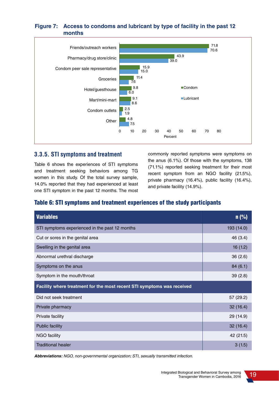#### **Figure 7: Access to condoms and lubricant by type of facility in the past 12 months**



#### **3.3.5. STI symptoms and treatment**

Table 6 shows the experiences of STI symptoms and treatment seeking behaviors among TG women in this study. Of the total survey sample, 14.0% reported that they had experienced at least one STI symptom in the past 12 months. The most commonly reported symptoms were symptoms on the anus (6.1%). Of those with the symptoms, 138 (71.1%) reported seeking treatment for their most recent symptom from an NGO facility (21.5%), private pharmacy (16.4%), public facility (16.4%), and private facility (14.9%).

### Table 6: STI symptoms and treatment experiences of the study participants

| <b>Variables</b>                                                       | $n$ (%)    |  |
|------------------------------------------------------------------------|------------|--|
| STI symptoms experienced in the past 12 months                         | 193 (14.0) |  |
| Cut or sores in the genital area                                       | 46 (3.4)   |  |
| Swelling in the genital area                                           | 16(1.2)    |  |
| Abnormal urethral discharge                                            | 36(2.6)    |  |
| Symptoms on the anus                                                   | 84(6.1)    |  |
| Symptom in the mouth/throat                                            | 39(2.8)    |  |
| Facility where treatment for the most recent STI symptoms was received |            |  |
| Did not seek treatment                                                 | 57 (29.2)  |  |
| Private pharmacy                                                       | 32(16.4)   |  |
| Private facility                                                       | 29 (14.9)  |  |
| <b>Public facility</b>                                                 | 32(16.4)   |  |
| <b>NGO</b> facility                                                    | 42 (21.5)  |  |
| <b>Traditional healer</b>                                              | 3(1.5)     |  |

**Abbreviations:** NGO, non-governmental organization; STI, sexually transmitted infection.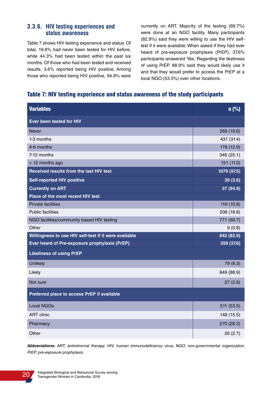#### **3.3.6. HIV testing experiences and status awareness**

Table 7 shows HIV testing experience and status. Of total, 19.6% had never been tested for HIV before, while 44.3% had been tested within the past six months. Of those who had been tested and received results, 3.6% reported being HIV positive. Among those who reported being HIV positive, 94.9% were currently on ART. Majority of the testing (69.7%) were done at an NGO facility. Many participants (82.9%) said they were willing to use the HIV selftest if it were available. When asked if they had ever heard of pre-exposure prophylaxis (PrEP), 37.6% participants answered 'Yes.' Regarding the likeliness of using PrEP, 88.9% said they would likely use it and that they would prefer to access the PrEP at a local NGO (53.5%) over other locations.

### Table 7: HIV testing experience and status awareness of the study participants

| <b>Variables</b>                                      | n(%)        |
|-------------------------------------------------------|-------------|
| Ever been tested for HIV                              |             |
| <b>Never</b>                                          | 269 (19.6)  |
| 1-3 months                                            | 431 (31.4)  |
| 4-6 months                                            | 178 (12.9)  |
| 7-12 months                                           | 346 (25.1)  |
| > 12 months ago                                       | 151 (11.0)  |
| Received results from the last HIV test               | 1079 (97.5) |
| <b>Self-reported HIV positive</b>                     | 39(3.6)     |
| <b>Currently on ART</b>                               | 37 (94.9)   |
| Place of the most recent HIV test                     |             |
| <b>Private facilities</b>                             | 119 (10.8)  |
| <b>Public facilities</b>                              | 208 (18.8)  |
| NGO facilities/community based HIV testing            | 771 (69.7)  |
| Other                                                 | 9(0.8)      |
| Willingness to use HIV self-test if it were available | 842 (82.9)  |
| Ever heard of Pre-exposure prophylaxis (PrEP)         | 359 (37.6)  |
| <b>Likeliness of using PrEP</b>                       |             |
| <b>Unlikely</b>                                       | 79 (8.3)    |
| Likely                                                | 849 (88.9)  |
| Not sure                                              | 27(2.8)     |
| Preferred place to access PrEP if available           |             |
| <b>Local NGOs</b>                                     | 511 (53.5)  |
| <b>ART</b> clinic                                     | 148 (15.5)  |
| Pharmacy                                              | 270 (28.3)  |
| Other                                                 | 26(2.7)     |

**Abbreviations:** ART, antiretroviral therapy; HIV, human immunodeficiency virus; NGO, non-governmental organization; PrEP, pre-exposure prophylaxis.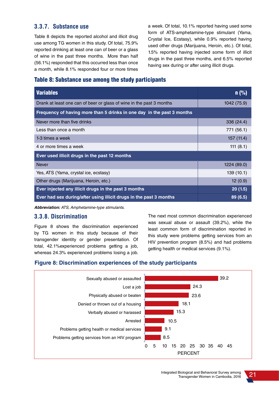### **3.3.7. Substance use**

Table 8 depicts the reported alcohol and illicit drug use among TG women in this study. Of total, 75.9% reported drinking at least one can of beer or a glass of wine in the past three months. More than half (56.1%) responded that this occurred less than once a month, while 8.1% responded four or more times a week. Of total, 10.1% reported having used some form of ATS-amphetamine-type stimulant (Yama, Crystal Ice, Ecstasy), while 0.9% reported having used other drugs (Marijuana, Heroin, etc.). Of total, 1.5% reported having injected some form of illicit drugs in the past three months, and 6.5% reported having sex during or after using illicit drugs.

#### Table 8: Substance use among the study participants

| <b>Variables</b>                                                       | $n$ (%)     |
|------------------------------------------------------------------------|-------------|
| Drank at least one can of beer or glass of wine in the past 3 months   | 1042 (75.9) |
| Frequency of having more than 5 drinks in one day in the past 3 months |             |
| Never more than five drinks                                            | 336 (24.4)  |
| Less than once a month                                                 | 771 (56.1)  |
| 1-3 times a week                                                       | 157(11.4)   |
| 4 or more times a week                                                 | 111(8.1)    |
| Ever used illicit drugs in the past 12 months                          |             |
| <b>Never</b>                                                           | 1224 (89.0) |
| Yes, ATS (Yama, crystal ice, ecstasy)                                  | 139(10.1)   |
| Other drugs (Marijuana, Heroin, etc.)                                  | 12(0.9)     |
| Ever injected any illicit drugs in the past 3 months                   | 20(1.5)     |
| Ever had sex during/after using illicit drugs in the past 3 months     | 89 (6.5)    |

**Abbreviation:** ATS, Amphetamine-type stimulants.

#### **3.3.8. Discrimination**

Figure 8 shows the discrimination experienced by TG women in this study because of their transgender identity or gender presentation. Of total, 42.1%experienced problems getting a job, whereas 24.3% experienced problems losing a job. The next most common discrimination experienced was sexual abuse or assault (39.2%), while the least common form of discrimination reported in this study were problems getting services from an HIV prevention program (8.5%) and had problems getting health or medical services (9.1%).

#### **Figure 8: Discrimination experiences of the study participants**

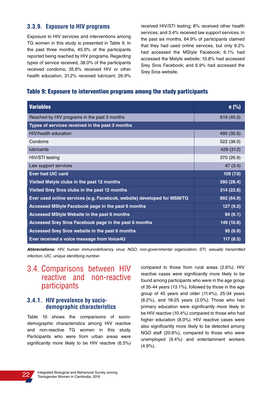#### **3.3.9. Exposure to HIV programs**

Exposure to HIV services and interventions among TG women in this study is presented in Table 9. In the past three months, 45.0% of the participants reported being reached by HIV programs. Regarding types of service received, 38.0% of the participants received condoms; 35.6% received HIV or other health education; 31.2% received lubricant; 26.9% received HIV/STI testing; 8% received other health services; and 3.4% received law support services. In the past six months, 64.9% of participants claimed that they had used online services, but only 9.2% had accessed the MStyle Facebook; 6.1% had accessed the Mstyle website; 10.8% had accessed Srey Sros Facebook; and 6.9% had accessed the Srey Sros website.

### Table 9: Exposure to intervention programs among the study participants

| <b>Variables</b>                                                        | $n$ (%)    |
|-------------------------------------------------------------------------|------------|
| Reached by HIV programs in the past 3 months                            | 619 (45.0) |
| Types of services received in the past 3 months                         |            |
| <b>HIV/health education</b>                                             | 490 (35.6) |
| Condoms                                                                 | 522 (38.0) |
| <b>lubricants</b>                                                       | 429 (31.2) |
| HIV/STI testing                                                         | 370 (26.9) |
| Law support services                                                    | 47(3.4)    |
| <b>Ever had UIC card</b>                                                | 109(7.9)   |
| Visited Mstyle clubs in the past 12 months                              | 390 (28.4) |
| Visited Srey Sros clubs in the past 12 months                           | 314(22.8)  |
| Ever used online services (e.g. Facebook, website) developed for MSM/TG | 892 (64.9) |
| Accessed MStyle Facebook page in the past 6 months                      | 127(9.2)   |
| Accessed MStyle Website in the past 6 months                            | 84(6.1)    |
| Accessed Srey Sros Facebook page in the past 6 months                   | 149 (10.8) |
| Accessed Srey Sros website in the past 6 months                         | 95(6.9)    |
| Ever received a voice message from Voice4U                              | 117(8.5)   |

**Abbreviations:** HIV, human immunodeficiency virus; NGO, non-governmental organization; STI, sexually transmitted infection; UIC, unique identifying number.

# 3.4. Comparisons between HIV reactive and non-reactive participants

#### **3.4.1. HIV prevalence by sociodemographic characteristics**

Table 10 shows the comparisons of sociodemographic characteristics among HIV reactive and non-reactive TG women in this study. Participants who were from urban areas were significantly more likely to be HIV reactive (6.5%) compared to those from rural areas (2.6%). HIV reactive cases were significantly more likely to be found among participants who were in the age group of 35-44 years (13.1%), followed by those in the age group of 45 years and older (11.4%), 25-34 years (8.2%), and 18-25 years (3.0%). Those who had primary education were significantly more likely to be HIV reactive (10.4%) compared to those who had higher education (8.0%). HIV reactive cases were also significantly more likely to be detected among NGO staff (20.6%), compared to those who were unemployed (9.4%) and entertainment workers (4.9%).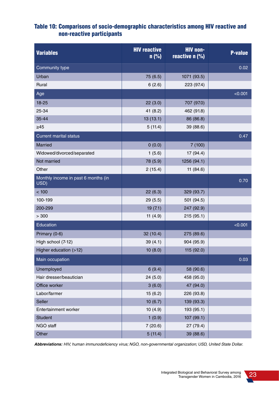### Table 10: Comparisons of socio-demographic characteristics among HIV reactive and non-reactive participants

| <b>Variables</b>                            | <b>HIV reactive</b><br>n(%) | <b>HIV non-</b><br>reactive n (%) | <b>P-value</b> |
|---------------------------------------------|-----------------------------|-----------------------------------|----------------|
| Community type                              |                             |                                   | 0.02           |
| Urban                                       | 75 (6.5)                    | 1071 (93.5)                       |                |
| Rural                                       | 6(2.6)                      | 223 (97.4)                        |                |
| Age                                         |                             |                                   | < 0.001        |
| 18-25                                       | 22(3.0)                     | 707 (97.0)                        |                |
| 25-34                                       | 41 $(8.2)$                  | 462 (91.8)                        |                |
| 35-44                                       | 13(13.1)                    | 86 (86.8)                         |                |
| $\geq 45$                                   | 5(11.4)                     | 39 (88.6)                         |                |
| <b>Current marital status</b>               |                             |                                   | 0.47           |
| <b>Married</b>                              | 0(0.0)                      | 7(100)                            |                |
| Widowed/divorced/separated                  | 1(5.6)                      | 17 (94.4)                         |                |
| Not married                                 | 78 (5.9)                    | 1256 (94.1)                       |                |
| Other                                       | 2(15.4)                     | 11 (84.6)                         |                |
| Monthly income in past 6 months (in<br>USD) |                             |                                   | 0.70           |
| < 100                                       | 22(6.3)                     | 329 (93.7)                        |                |
| 100-199                                     | 29(5.5)                     | 501 (94.5)                        |                |
| 200-299                                     | 19(7.1)                     | 247 (92.9)                        |                |
| > 300                                       | 11 $(4.9)$                  | 215 (95.1)                        |                |
| Education                                   |                             |                                   | < 0.001        |
| Primary (0-6)                               | 32(10.4)                    | 275 (89.6)                        |                |
| High school (7-12)                          | 39(4.1)                     | 904 (95.9)                        |                |
| Higher education (>12)                      | 10(8.0)                     | 115 (92.0)                        |                |
| Main occupation                             |                             |                                   | 0.03           |
| Unemployed                                  | 6(9.4)                      | 58 (90.6)                         |                |
| Hair dresser/beautician                     | 24(5.0)                     | 458 (95.0)                        |                |
| Office worker                               | 3(6.0)                      | 47 (94.0)                         |                |
| Labor/farmer                                | 15(6.2)                     | 226 (93.8)                        |                |
| Seller                                      | 10(6.7)                     | 139 (93.3)                        |                |
| Entertainment worker                        | 10(4.9)                     | 193 (95.1)                        |                |
| Student                                     | 1(0.9)                      | 107 (99.1)                        |                |
| NGO staff                                   | 7(20.6)                     | 27 (79.4)                         |                |
| Other                                       | 5(11.4)                     | 39 (88.6)                         |                |

**Abbreviations:** HIV, human immunodeficiency virus; NGO, non-governmental organization; USD, United State Dollar.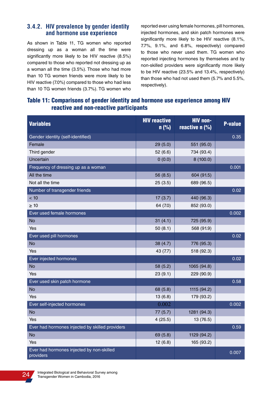### **3.4.2. HIV prevalence by gender identity and hormone use experience**

As shown in Table 11, TG women who reported dressing up as a woman all the time were significantly more likely to be HIV reactive (8.5%) compared to those who reported not dressing up as a woman all the time (3.5%). Those who had more than 10 TG women friends were more likely to be HIV reactive (7.0%) compared to those who had less than 10 TG women friends (3.7%). TG women who reported ever using female hormones, pill hormones, injected hormones, and skin patch hormones were significantly more likely to be HIV reactive (8.1%, 7.7%, 9.1%, and 6.8%, respectively) compared to those who never used them. TG women who reported injecting hormones by themselves and by non-skilled providers were significantly more likely to be HIV reactive (23.5% and 13.4%, respectively) than those who had not used them (5.7% and 5.5%, respectively).

### Table 11: Comparisons of gender identity and hormone use experience among HIV reactive and non-reactive participants

| <b>Variables</b>                                       | <b>HIV reactive</b><br>$n$ (%) | <b>HIV non-</b><br>reactive n (%) | <b>P-value</b> |
|--------------------------------------------------------|--------------------------------|-----------------------------------|----------------|
| Gender identity (self-identified)                      |                                |                                   | 0.35           |
| Female                                                 | 29 (5.0)                       | 551 (95.0)                        |                |
| Third gender                                           | 52(6.6)                        | 734 (93.4)                        |                |
| Uncertain                                              | 0(0.0)                         | 8(100.0)                          |                |
| Frequency of dressing up as a woman                    |                                |                                   | 0.001          |
| All the time                                           | 56 (8.5)                       | 604 (91.5)                        |                |
| Not all the time                                       | 25(3.5)                        | 689 (96.5)                        |                |
| Number of transgender friends                          |                                |                                   | 0.02           |
| < 10                                                   | 17(3.7)                        | 440 (96.3)                        |                |
| $\geq 10$                                              | 64 (7.0)                       | 852 (93.0)                        |                |
| Ever used female hormones                              |                                |                                   | 0.002          |
| <b>No</b>                                              | 31(4.1)                        | 725 (95.9)                        |                |
| Yes                                                    | 50(8.1)                        | 568 (91.9)                        |                |
| Ever used pill hormones                                |                                |                                   | 0.02           |
| <b>No</b>                                              | 38 (4.7)                       | 776 (95.3)                        |                |
| Yes                                                    | 43 (7.7)                       | 518 (92.3)                        |                |
| Ever injected hormones                                 |                                |                                   | 0.02           |
| <b>No</b>                                              | 58 (5.2)                       | 1065 (94.8)                       |                |
| Yes                                                    | 23(9.1)                        | 229 (90.9)                        |                |
| Ever used skin patch hormone                           |                                |                                   | 0.58           |
| <b>No</b>                                              | 68 (5.8)                       | 1115 (94.2)                       |                |
| Yes                                                    | 13(6.8)                        | 179 (93.2)                        |                |
| Ever self-injected hormones                            | 0.002                          |                                   | 0.002          |
| <b>No</b>                                              | 77(5.7)                        | 1281 (94.3)                       |                |
| Yes                                                    | 4(25.5)                        | 13 (76.5)                         |                |
| Ever had hormones injected by skilled providers        |                                |                                   | 0.59           |
| <b>No</b>                                              | 69 (5.8)                       | 1129 (94.2)                       |                |
| Yes                                                    | 12(6.8)                        | 165 (93.2)                        |                |
| Ever had hormones injected by non-skilled<br>providers |                                |                                   | 0.007          |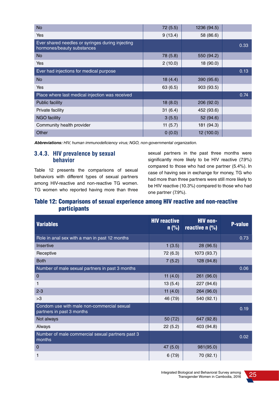| <b>No</b>                                                                      | 72(5.5)    | 1236 (94.5) |      |
|--------------------------------------------------------------------------------|------------|-------------|------|
| Yes                                                                            | 9(13.4)    | 58 (86.6)   |      |
| Ever shared needles or syringes during injecting<br>hormones/beauty substances |            |             | 0.33 |
| <b>No</b>                                                                      | 78 (5.8)   | 550 (94.2)  |      |
| Yes                                                                            | 2(10.0)    | 18 (90.0)   |      |
| Ever had injections for medical purpose                                        |            |             | 0.13 |
| <b>No</b>                                                                      | 18(4.4)    | 390 (95.6)  |      |
| Yes                                                                            | 63 (6.5)   | 903 (93.5)  |      |
| Place where last medical injection was received                                |            |             | 0.74 |
| <b>Public facility</b>                                                         | 18(8.0)    | 206 (92.0)  |      |
| Private facility                                                               | 31(6.4)    | 452 (93.6)  |      |
| <b>NGO facility</b>                                                            | 3(5.5)     | 52 (94.6)   |      |
| Community health provider                                                      | 11 $(5.7)$ | 181 (94.3)  |      |
| Other                                                                          | 0(0.0)     | 12 (100.0)  |      |

**Abbreviations:** HIV, human immunodeficiency virus; NGO, non-governmental organization.

### **3.4.3. HIV prevalence by sexual behavior**

Table 12 presents the comparisons of sexual behaviors with different types of sexual partners among HIV-reactive and non-reactive TG women. TG women who reported having more than three sexual partners in the past three months were significantly more likely to be HIV reactive (7.9%) compared to those who had one partner (5.4%). In case of having sex in exchange for money, TG who had more than three partners were still more likely to be HIV reactive (10.3%) compared to those who had one partner (7.9%).

### Table 12: Comparisons of sexual experience among HIV reactive and non-reactive participants

| <b>Variables</b>                                                        | <b>HIV reactive</b><br>$n$ (%) | <b>HIV</b> non-<br>reactive $\overline{(\%)}$ | <b>P-value</b> |
|-------------------------------------------------------------------------|--------------------------------|-----------------------------------------------|----------------|
| Role in anal sex with a man in past 12 months                           |                                |                                               | 0.73           |
| Insertive                                                               | 1(3.5)                         | 28 (96.5)                                     |                |
| Receptive                                                               | 72 (6.3)                       | 1073 (93.7)                                   |                |
| <b>Both</b>                                                             | 7(5.2)                         | 128 (94.8)                                    |                |
| Number of male sexual partners in past 3 months                         |                                |                                               | 0.06           |
| $\mathbf 0$                                                             | 11 $(4.0)$                     | 261 (96.0)                                    |                |
| 1                                                                       | 13(5.4)                        | 227 (94.6)                                    |                |
| $2 - 3$                                                                 | 11 $(4.0)$                     | 264 (96.0)                                    |                |
| >3                                                                      | 46 (7.9)                       | 540 (92.1)                                    |                |
| Condom use with male non-commercial sexual<br>partners in past 3 months |                                |                                               | 0.19           |
| Not always                                                              | 50(7.2)                        | 647 (92.8)                                    |                |
| Always                                                                  | 22(5.2)                        | 403 (94.8)                                    |                |
| Number of male commercial sexual partners past 3<br>months              |                                |                                               | 0.02           |
| $\Omega$                                                                | 47 (5.0)                       | 981(95.0)                                     |                |
| 1                                                                       | 6(7.9)                         | 70 (92.1)                                     |                |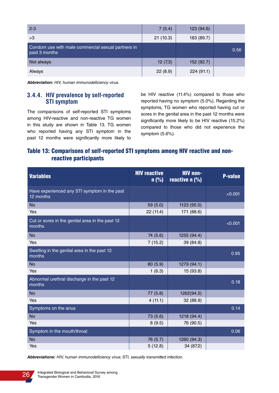| $2 - 3$                                                             | 7(5.4)   | 123 (94.6) |      |
|---------------------------------------------------------------------|----------|------------|------|
| >3                                                                  | 21(10.3) | 183 (89.7) |      |
| Condom use with male commercial sexual partners in<br>past 3 months |          |            | 0.56 |
| Not always                                                          | 12(7.3)  | 152 (92.7) |      |
| Always                                                              | 22(8.9)  | 224(91.1)  |      |

**Abbreviation:** HIV, human immunodeficiency virus.

### **3.4.4. HIV prevalence by self-reported STI symptom**

The comparisons of self-reported STI symptoms among HIV-reactive and non-reactive TG women in this study are shown in Table 13. TG women who reported having any STI symptom in the past 12 months were significantly more likely to be HIV reactive (11.4%) compared to those who reported having no symptom (5.0%). Regarding the symptoms, TG women who reported having cut or sores in the genital area in the past 12 months were significantly more likely to be HIV reactive (15.2%) compared to those who did not experience the symptom (5.6%).

### Table 13: Comparisons of self-reported STI symptoms among HIV reactive and nonreactive participants

| <b>Variables</b>                                          | <b>HIV reactive</b><br>$n$ (%) | <b>HIV non-</b><br>reactive $n$ (%) | <b>P-value</b> |
|-----------------------------------------------------------|--------------------------------|-------------------------------------|----------------|
| Have experienced any STI symptom in the past<br>12 months |                                |                                     | < 0.001        |
| <b>No</b>                                                 | 59 (5.0)                       | 1123 (95.0)                         |                |
| Yes                                                       | 22 (11.4)                      | 171 (88.6)                          |                |
| Cut or sores in the genital area in the past 12<br>months |                                |                                     | < 0.001        |
| <b>No</b>                                                 | 74 (5.6)                       | 1255 (94.4)                         |                |
| Yes                                                       | 7(15.2)                        | 39 (84.8)                           |                |
| Swelling in the genital area in the past 12<br>months     |                                |                                     | 0.95           |
| <b>No</b>                                                 | 80 (5.9)                       | 1279 (94.1)                         |                |
| Yes                                                       | 1(6.3)                         | 15 (93.8)                           |                |
| Abnormal urethral discharge in the past 12<br>months      |                                |                                     | 0.18           |
| <b>No</b>                                                 | 77 (5.8)                       | 1262(94.2)                          |                |
| Yes                                                       | 4(11.1)                        | 32 (88.9)                           |                |
| Symptoms on the anus                                      |                                |                                     | 0.14           |
| <b>No</b>                                                 | 73 (5.6)                       | 1218 (94.4)                         |                |
| Yes                                                       | 8(9.5)                         | 76 (90.5)                           |                |
| Symptom in the mouth/throat                               |                                |                                     | 0.06           |
| <b>No</b>                                                 | 76 (5.7)                       | 1260 (94.3)                         |                |
| Yes                                                       | 5(12.8)                        | 34 (87.2)                           |                |

**Abbreviations:** HIV, human immunodeficiency virus; STI, sexually transmitted infection.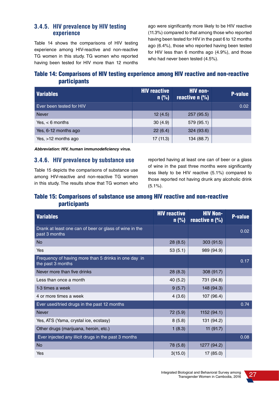### **3.4.5. HIV prevalence by HIV testing experience**

Table 14 shows the comparisons of HIV testing experience among HIV-reactive and non-reactive TG women in this study. TG women who reported having been tested for HIV more than 12 months ago were significantly more likely to be HIV reactive (11.3%) compared to that among those who reported having been tested for HIV in the past 6 to 12 months ago (6.4%), those who reported having been tested for HIV less than 6 months ago (4.9%), and those who had never been tested (4.5%).

### Table 14: Comparisons of HIV testing experience among HIV reactive and non-reactive participants

| Variables                | <b>HIV reactive</b><br>$n$ (%) | <b>HIV</b> non-<br>reactive $n$ (%) | <b>P-value</b> |
|--------------------------|--------------------------------|-------------------------------------|----------------|
| Ever been tested for HIV |                                |                                     | 0.02           |
| <b>Never</b>             | 12(4.5)                        | 257 (95.5)                          |                |
| Yes, $< 6$ months        | 30(4.9)                        | 579 (95.1)                          |                |
| Yes, 6-12 months ago     | 22(6.4)                        | 324 (93.6)                          |                |
| Yes, $>12$ months ago    | 17(11.3)                       | 134 (88.7)                          |                |

**Abbreviation: HIV, human immunodeficiency virus.**

#### **3.4.6. HIV prevalence by substance use**

Table 15 depicts the comparisons of substance use among HIV-reactive and non-reactive TG women in this study. The results show that TG women who reported having at least one can of beer or a glass of wine in the past three months were significantly less likely to be HIV reactive (5.1%) compared to those reported not having drunk any alcoholic drink (5.1%).

### Table 15: Comparisons of substance use among HIV reactive and non-reactive participants

| <b>Variables</b>                                                          | <b>HIV reactive</b><br>$n$ (%) | <b>HIV Non-</b><br>reactive $n$ (%) | <b>P-value</b> |
|---------------------------------------------------------------------------|--------------------------------|-------------------------------------|----------------|
| Drank at least one can of beer or glass of wine in the<br>past 3 months   |                                |                                     | 0.02           |
| <b>No</b>                                                                 | 28(8.5)                        | 303 (91.5)                          |                |
| Yes                                                                       | 53(5.1)                        | 989 (94.9)                          |                |
| Frequency of having more than 5 drinks in one day in<br>the past 3 months |                                |                                     | 0.17           |
| Never more than five drinks                                               | 28(8.3)                        | 308 (91.7)                          |                |
| Less than once a month                                                    | 40(5.2)                        | 731 (94.8)                          |                |
| 1-3 times a week                                                          | 9(5.7)                         | 148 (94.3)                          |                |
| 4 or more times a week                                                    | 4(3.6)                         | 107 (96.4)                          |                |
| Ever used/tried drugs in the past 12 months                               |                                |                                     | 0.74           |
| <b>Never</b>                                                              | 72 (5.9)                       | 1152(94.1)                          |                |
| Yes, ATS (Yama, crystal ice, ecstasy)                                     | 8(5.8)                         | 131 (94.2)                          |                |
| Other drugs (marijuana, heroin, etc.)                                     | 1(8.3)                         | 11(91.7)                            |                |
| Ever injected any illicit drugs in the past 3 months                      |                                |                                     | 0.08           |
| <b>No</b>                                                                 | 78 (5.8)                       | 1277 (94.2)                         |                |
| Yes                                                                       | 3(15.0)                        | 17 (85.0)                           |                |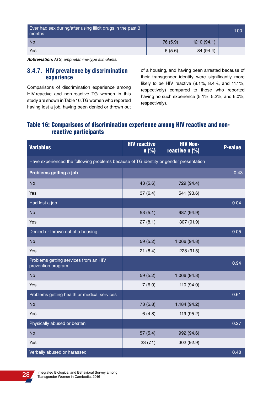| Ever had sex during/after using illicit drugs in the past 3<br>months |          |            | 1.00 <sub>1</sub> |
|-----------------------------------------------------------------------|----------|------------|-------------------|
| <b>No</b>                                                             | 76 (5.9) | 1210(94.1) |                   |
| Yes                                                                   | 5(5.6)   | 84 (94.4)  |                   |

**Abbreviation:** ATS, amphetamine-type stimulants.

#### **3.4.7. HIV prevalence by discrimination experience**

Comparisons of discrimination experience among HIV-reactive and non-reactive TG women in this study are shown in Table 16. TG women who reported having lost a job, having been denied or thrown out of a housing, and having been arrested because of their transgender identity were significantly more likely to be HIV reactive (8.1%, 8.4%, and 11.1%, respectively) compared to those who reported having no such experience (5.1%, 5.2%, and 6.0%, respectively).

### Table 16: Comparisons of discrimination experience among HIV reactive and nonreactive participants

| <b>Variables</b>                                                                      | <b>HIV reactive</b><br>n(%) | <b>HIV Non-</b><br>reactive $n$ (%) | <b>P-value</b> |
|---------------------------------------------------------------------------------------|-----------------------------|-------------------------------------|----------------|
| Have experienced the following problems because of TG identity or gender presentation |                             |                                     |                |
| Problems getting a job                                                                |                             |                                     | 0.43           |
| <b>No</b>                                                                             | 43 (5.6)                    | 729 (94.4)                          |                |
| Yes                                                                                   | 37(6.4)                     | 541 (93.6)                          |                |
| Had lost a job                                                                        |                             |                                     | 0.04           |
| <b>No</b>                                                                             | 53(5.1)                     | 987 (94.9)                          |                |
| Yes                                                                                   | 27(8.1)                     | 307 (91.9)                          |                |
| Denied or thrown out of a housing                                                     |                             |                                     | 0.05           |
| <b>No</b>                                                                             | 59 (5.2)                    | 1,066 (94.8)                        |                |
| Yes                                                                                   | 21(8.4)                     | 228 (91.5)                          |                |
| Problems getting services from an HIV<br>prevention program                           |                             |                                     | 0.94           |
| <b>No</b>                                                                             | 59 (5.2)                    | 1,066 (94.8)                        |                |
| Yes                                                                                   | 7(6.0)                      | 110 (94.0)                          |                |
| Problems getting health or medical services                                           |                             |                                     | 0.61           |
| <b>No</b>                                                                             | 73 (5.8)                    | 1,184 (94.2)                        |                |
| Yes                                                                                   | 6(4.8)                      | 119 (95.2)                          |                |
| Physically abused or beaten                                                           |                             |                                     | 0.27           |
| <b>No</b>                                                                             | 57(5.4)                     | 992 (94.6)                          |                |
| Yes                                                                                   | 23(7.1)                     | 302 (92.9)                          |                |
| Verbally abused or harassed                                                           |                             |                                     | 0.48           |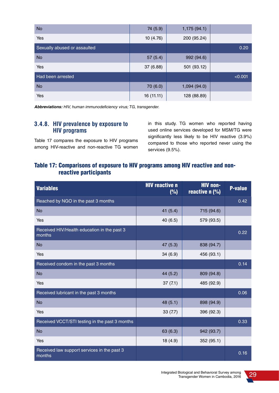| <b>No</b>                    | 74 (5.9)   | 1,175(94.1) |         |
|------------------------------|------------|-------------|---------|
| Yes                          | 10(4.76)   | 200 (95.24) |         |
| Sexually abused or assaulted |            |             | 0.20    |
| <b>No</b>                    | 57(5.4)    | 992 (94.6)  |         |
| Yes                          | 37 (6.88)  | 501 (93.12) |         |
| Had been arrested            |            |             | < 0.001 |
| <b>No</b>                    | 70 (6.0)   | 1,094(94.0) |         |
| Yes                          | 16 (11.11) | 128 (88.89) |         |

**Abbreviations:** HIV, human immunodeficiency virus; TG, transgender.

### **3.4.8. HIV prevalence by exposure to HIV programs**

Table 17 compares the exposure to HIV programs among HIV-reactive and non-reactive TG women in this study. TG women who reported having used online services developed for MSM/TG were significantly less likely to be HIV reactive (3.9%) compared to those who reported never using the services (9.5%).

### Table 17: Comparisons of exposure to HIV programs among HIV reactive and nonreactive participants

| <b>Variables</b>                                      | <b>HIV reactive n</b><br>(%) | <b>HIV non-</b><br>reactive $n$ (%) | <b>P-value</b> |
|-------------------------------------------------------|------------------------------|-------------------------------------|----------------|
| Reached by NGO in the past 3 months                   |                              |                                     | 0.42           |
| <b>No</b>                                             | 41(5.4)                      | 715 (94.6)                          |                |
| Yes                                                   | 40 (6.5)                     | 579 (93.5)                          |                |
| Received HIV/Health education in the past 3<br>months |                              |                                     | 0.22           |
| <b>No</b>                                             | 47 (5.3)                     | 838 (94.7)                          |                |
| Yes                                                   | 34(6.9)                      | 456 (93.1)                          |                |
| Received condom in the past 3 months                  |                              |                                     | 0.14           |
| <b>No</b>                                             | 44 (5.2)                     | 809 (94.8)                          |                |
| Yes                                                   | 37(7.1)                      | 485 (92.9)                          |                |
| Received lubricant in the past 3 months               |                              |                                     | 0.06           |
| <b>No</b>                                             | 48 (5.1)                     | 898 (94.9)                          |                |
| Yes                                                   | 33(7.7)                      | 396 (92.3)                          |                |
| Received VCCT/STI testing in the past 3 months        |                              |                                     | 0.33           |
| <b>No</b>                                             | 63(6.3)                      | 942 (93.7)                          |                |
| Yes                                                   | 18(4.9)                      | 352 (95.1)                          |                |
| Received law support services in the past 3<br>months |                              |                                     | 0.16           |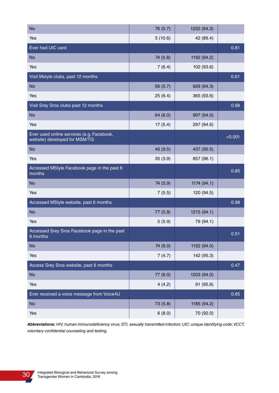| <b>No</b>                                                                  | 76 (5.7) | 1252 (94.3) |         |
|----------------------------------------------------------------------------|----------|-------------|---------|
| Yes                                                                        | 5(10.6)  | 42 (89.4)   |         |
| Ever had UIC card                                                          |          |             | 0.81    |
| <b>No</b>                                                                  | 74 (5.8) | 1192 (94.2) |         |
| Yes                                                                        | 7(6.4)   | 102 (93.6)  |         |
| Visit Mstyle clubs, past 12 months                                         |          |             | 0.61    |
| <b>No</b>                                                                  | 56 (5.7) | 929 (94.3)  |         |
| Yes                                                                        | 25(6.4)  | 365 (93.6)  |         |
| Visit Srey Sros clubs past 12 months                                       |          |             | 0.68    |
| <b>No</b>                                                                  | 64 (6.0) | 997 (94.0)  |         |
| Yes                                                                        | 17(5.4)  | 297 (94.6)  |         |
| Ever used online services (e.g. Facebook,<br>website) developed for MSM/TG |          |             | < 0.001 |
| <b>No</b>                                                                  | 46 (9.5) | 437 (90.5)  |         |
| Yes                                                                        | 35(3.9)  | 857 (96.1)  |         |
| Accessed MStyle Facebook page in the past 6<br>months                      |          |             | 0.85    |
| <b>No</b>                                                                  | 74 (5.9) | 1174 (94.1) |         |
| Yes                                                                        | 7(5.5)   | 120 (94.5)  |         |
| Accessed MStyle website, past 6 months                                     |          |             | 0.98    |
| <b>No</b>                                                                  | 77 (5.9) | 1215 (94.1) |         |
| Yes                                                                        | 5(5.9)   | 79 (94.1)   |         |
| Accessed Srey Sros Facebook page in the past<br>6 months                   |          |             | 0.51    |
| <b>No</b>                                                                  | 74 (6.0) | 1152 (94.0) |         |
| Yes                                                                        | 7(4.7)   | 142 (95.3)  |         |
| Access Srey Sros website, past 6 months                                    |          |             | 0.47    |
| <b>No</b>                                                                  | 77 (6.0) | 1203 (94.0) |         |
| Yes                                                                        | 4(4.2)   | 91 (95.8)   |         |
| Ever received a voice message from Voice4U                                 |          |             | 0.65    |
| <b>No</b>                                                                  | 73 (5.8) | 1185 (94.2) |         |
| Yes                                                                        | 6(8.0)   | 70 (92.0)   |         |

**Abbreviations:** HIV, human immunodeficiency virus; STI, sexually transmitted infection; UIC: unique identifying code; VCCT, voluntary confidential counseling and testing.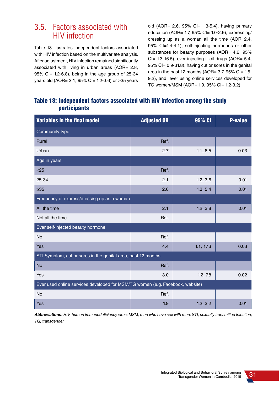# 3.5. Factors associated with HIV infection

Table 18 illustrates independent factors associated with HIV infection based on the multivariate analysis. After adjustment, HIV infection remained significantly associated with living in urban areas (AOR= 2.8, 95% CI= 1.2-6.8), being in the age group of 25-34 years old (AOR= 2.1, 95% CI= 1.2-3.6) or ≥35 years old (AOR= 2.6,  $95\%$  Cl= 1.3-5.4), having primary education (AOR= 1.7,  $95\%$  Cl= 1.0-2.9), expressing/ dressing up as a woman all the time (AOR=2.4, 95% CI=1.4-4.1), self-injecting hormones or other substances for beauty purposes (AOR= 4.6, 95%) CI= 1.3-16.5), ever injecting illicit drugs (AOR= 5.4, 95% CI= 0.9-31.8), having cut or sores in the genital area in the past 12 months (AOR=  $3.7$ ,  $95\%$  CI=  $1.5$ -9.2), and ever using online services developed for TG women/MSM (AOR= 1.9, 95% CI= 1.2-3.2).

### Table 18: Independent factors associated with HIV infection among the study participants

| <b>Variables in the final model</b>                                           | <b>Adjusted OR</b> | 95% CI    | <b>P-value</b> |
|-------------------------------------------------------------------------------|--------------------|-----------|----------------|
| Community type                                                                |                    |           |                |
| <b>Rural</b>                                                                  | Ref.               |           |                |
| Urban                                                                         | 2.7                | 1.1, 6.5  | 0.03           |
| Age in years                                                                  |                    |           |                |
| < 25                                                                          | Ref.               |           |                |
| 25-34                                                                         | 2.1                | 1.2, 3.6  | 0.01           |
| $\geq 35$                                                                     | 2.6                | 1.3, 5.4  | 0.01           |
| Frequency of express/dressing up as a woman                                   |                    |           |                |
| All the time                                                                  | 2.1                | 1.2, 3.8  | 0.01           |
| Not all the time                                                              | Ref.               |           |                |
| Ever self-injected beauty hormone                                             |                    |           |                |
| No                                                                            | Ref.               |           |                |
| Yes                                                                           | 4.4                | 1.1, 17.3 | 0.03           |
| STI Symptom, cut or sores in the genital area, past 12 months                 |                    |           |                |
| <b>No</b>                                                                     | Ref.               |           |                |
| Yes                                                                           | 3.0                | 1.2, 7.8  | 0.02           |
| Ever used online services developed for MSM/TG women (e.g. Facebook, website) |                    |           |                |
| No                                                                            | Ref.               |           |                |
| Yes                                                                           | 1.9                | 1.2, 3.2  | 0.01           |

**Abbreviations:** HIV, human immunodeficiency virus; MSM, men who have sex with men; STI, sexually transmitted infection; TG, transgender.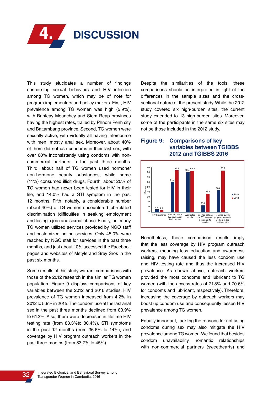

This study elucidates a number of findings concerning sexual behaviors and HIV infection among TG women, which may be of note for program implementers and policy makers. First, HIV prevalence among TG women was high (5.9%), with Banteay Meanchey and Siem Reap provinces having the highest rates, trailed by Phnom Penh city and Battambang province. Second, TG women were sexually active, with virtually all having intercourse with men, mostly anal sex. Moreover, about 40% of them did not use condoms in their last sex, with over 60% inconsistently using condoms with noncommercial partners in the past three months. Third, about half of TG women used hormone/ non-hormone beauty substances, while some (11%) consumed illicit drugs. Fourth, about 20% of TG women had never been tested for HIV in their life, and 14.0% had a STI symptom in the past 12 months. Fifth, notably, a considerable number (about 40%) of TG women encountered job-related discrimination (difficulties in seeking employment and losing a job) and sexual abuse. Finally, not many TG women utilized services provided by NGO staff and customized online services. Only 45.0% were reached by NGO staff for services in the past three months, and just about 10% accessed the Facebook pages and websites of Mstyle and Srey Sros in the past six months.

Some results of this study warrant comparisons with those of the 2012 research in the similar TG women population. Figure 9 displays comparisons of key variables between the 2012 and 2016 studies. HIV prevalence of TG women increased from 4.2% in 2012 to 5.9% in 2015. The condom use at the last anal sex in the past three months declined from 83.9% to 61.2%. Also, there were decreases in lifetime HIV testing rate (from 83.3%to 80.4%), STI symptoms in the past 12 months (from 36.6% to 14%), and coverage by HIV program outreach workers in the past three months (from 83.7% to 45%).

Despite the similarities of the tools, these comparisons should be interpreted in light of the differences in the sample sizes and the crosssectional nature of the present study. While the 2012 study covered six high-burden sites, the current study extended to 13 high-burden sites. Moreover, some of the participants in the same six sites may not be those included in the 2012 study.

### **Figure 9: Comparisons of key variables between TGIBBS 2012 and TGIBBS 2016**



Nonetheless, these comparison results imply that the less coverage by HIV program outreach workers, meaning less education and awareness raising, may have caused the less condom use and HIV testing rate and thus the increased HIV prevalence. As shown above, outreach workers provided the most condoms and lubricant to TG women (with the access rates of 71.8% and 70.6% for condoms and lubricant, respectively). Therefore, increasing the coverage by outreach workers may boost up condom use and consequently lessen HIV prevalence among TG women.

Equally important, tackling the reasons for not using condoms during sex may also mitigate the HIV prevalence among TG women. We found that besides condom unavailability, romantic relationships with non-commercial partners (sweethearts) and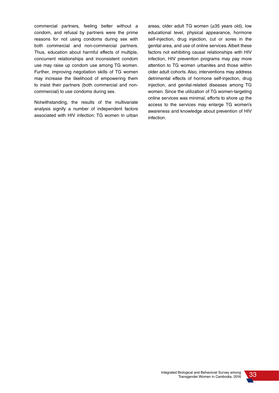commercial partners, feeling better without a condom, and refusal by partners were the prime reasons for not using condoms during sex with both commercial and non-commercial partners. Thus, education about harmful effects of multiple, concurrent relationships and inconsistent condom use may raise up condom use among TG women. Further, improving negotiation skills of TG women may increase the likelihood of empowering them to insist their partners (both commercial and noncommercial) to use condoms during sex.

Notwithstanding, the results of the multivariate analysis signify a number of independent factors associated with HIV infection: TG women in urban areas, older adult TG women (≥35 years old), low educational level, physical appearance, hormone self-injection, drug injection, cut or sores in the genital area, and use of online services. Albeit these factors not exhibiting causal relationships with HIV infection, HIV prevention programs may pay more attention to TG women urbanites and those within older adult cohorts. Also, interventions may address detrimental effects of hormone self-injection, drug injection, and genital-related diseases among TG women. Since the utilization of TG women-targeting online services was minimal, efforts to shore up the access to the services may enlarge TG women's awareness and knowledge about prevention of HIV infection.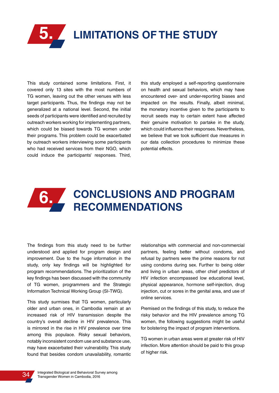

This study contained some limitations. First, it covered only 13 sites with the most numbers of TG women, leaving out the other venues with less target participants. Thus, the findings may not be generalized at a national level. Second, the initial seeds of participants were identified and recruited by outreach workers working for implementing partners, which could be biased towards TG women under their programs. This problem could be exacerbated by outreach workers interviewing some participants who had received services from their NGO, which could induce the participants' responses. Third, this study employed a self-reporting questionnaire on health and sexual behaviors, which may have encountered over- and under-reporting biases and impacted on the results. Finally, albeit minimal, the monetary incentive given to the participants to recruit seeds may to certain extent have affected their genuine motivation to partake in the study, which could influence their responses. Nevertheless, we believe that we took sufficient due measures in our data collection procedures to minimize these potential effects.

## **CONCLUSIONS AND PROGRAM RECOMMENDATIONS 6.**

The findings from this study need to be further understood and applied for program design and improvement. Due to the huge information in the study, only key findings will be highlighted for program recommendations. The prioritization of the key findings has been discussed with the community of TG women, programmers and the Strategic Information Technical Working Group (SI-TWG).

This study surmises that TG women, particularly older and urban ones, in Cambodia remain at an increased risk of HIV transmission despite the country's overall decline in HIV prevalence. This is mirrored in the rise in HIV prevalence over time among this populace. Risky sexual behaviors, notably inconsistent condom use and substance use, may have exacerbated their vulnerability. This study found that besides condom unavailability, romantic relationships with commercial and non-commercial partners, feeling better without condoms, and refusal by partners were the prime reasons for not using condoms during sex. Further to being older and living in urban areas, other chief predictors of HIV infection encompassed low educational level, physical appearance, hormone self-injection, drug injection, cut or sores in the genital area, and use of online services.

Premised on the findings of this study, to reduce the risky behavior and the HIV prevalence among TG women, the following suggestions might be useful for bolstering the impact of program interventions.

TG women in urban areas were at greater risk of HIV infection. More attention should be paid to this group of higher risk.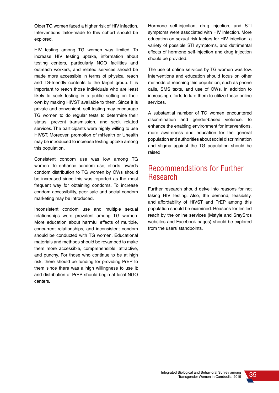Older TG women faced a higher risk of HIV infection. Interventions tailor-made to this cohort should be explored.

HIV testing among TG women was limited. To increase HIV testing uptake, information about testing centers, particularly NGO facilities and outreach workers, and related services should be made more accessible in terms of physical reach and TG-friendly contents to the target group. It is important to reach those individuals who are least likely to seek testing in a public setting on their own by making HIVST available to them. Since it is private and convenient, self-testing may encourage TG women to do regular tests to determine their status, prevent transmission, and seek related services. The participants were highly willing to use HIVST. Moreover, promotion of mHealth or Uhealth may be introduced to increase testing uptake among this population.

Consistent condom use was low among TG women. To enhance condom use, efforts towards condom distribution to TG women by OWs should be increased since this was reported as the most frequent way for obtaining condoms. To increase condom accessibility, peer sale and social condom marketing may be introduced.

Inconsistent condom use and multiple sexual relationships were prevalent among TG women. More education about harmful effects of multiple, concurrent relationships, and inconsistent condom should be conducted with TG women. Educational materials and methods should be revamped to make them more accessible, comprehensible, attractive, and punchy. For those who continue to be at high risk, there should be funding for providing PrEP to them since there was a high willingness to use it; and distribution of PrEP should begin at local NGO centers.

Hormone self-injection, drug injection, and STI symptoms were associated with HIV infection. More education on sexual risk factors for HIV infection, a variety of possible STI symptoms, and detrimental effects of hormone self-injection and drug injection should be provided.

The use of online services by TG women was low. Interventions and education should focus on other methods of reaching this population, such as phone calls, SMS texts, and use of OWs, in addition to increasing efforts to lure them to utilize these online services.

A substantial number of TG women encountered discrimination and gender-based violence. To enhance the enabling environment for interventions, more awareness and education for the general population and authorities about social discrimination and stigma against the TG population should be raised.

# Recommendations for Further Research

Further research should delve into reasons for not taking HIV testing. Also, the demand, feasibility, and affordability of HIVST and PrEP among this population should be examined. Reasons for limited reach by the online services (Mstyle and SreySros websites and Facebook pages) should be explored from the users' standpoints.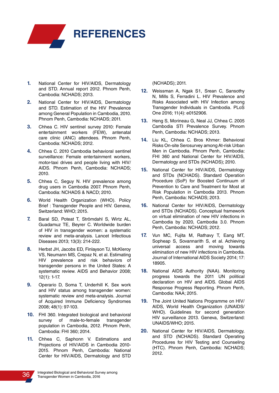

- **1.** National Center for HIV/AIDS, Dermatology and STD. Annual report 2012. Phnom Penh, Cambodia: NCHADS; 2013.
- **2.** National Center for HIV/AIDS, Dermatology and STD. Estimation of the HIV Prevalence among General Population in Cambodia, 2010. Phnom Penh, Cambodia: NCHADS; 2011.
- **3.** Chhea C. HIV sentinel survey 2010: Female entertainment workers (FEW), antenatal care clinic (ANC) attendees. Phnom Penh, Cambodia: NCHADS; 2012.
- **4.** Chhea C. 2010 Cambodia behavioral sentinel surveillance: Female entertainment workers, motor-taxi drives and people living with HIV/ AIDS. Phnom Penh, Cambodia: NCHADS; 2010.
- **5.** Chhea C, Seguy N. HIV prevalence among drug users in Cambodia 2007. Phnom Penh, Cambodia: NCHADS & NACD; 2010.
- **6.** World Health Organization (WHO). Policy Brief : Transgender People and HIV. Geneva, Switzerland: WHO; 2015.
- **7.** Baral SD, Poteat T, Strömdahl S, Wirtz AL, Guadamuz TE, Beyrer C. Worldwide burden of HIV in transgender women: a systematic review and meta-analysis. Lancet Infectious Diseases 2013; 13(3): 214-222.
- **8.** Herbst JH, Jacobs ED, Finlayson TJ, McKleroy VS, Neumann MS, Crepaz N, et al. Estimating HIV prevalence and risk behaviors of transgender persons in the United States: A systematic review. AIDS and Behavior 2008; 12(1): 1-17.
- **9.** Operario D, Soma T, Underhill K. Sex work and HIV status among transgender women: systematic review and meta-analysis. Journal of Acquired Immune Deficiency Syndromes 2008; 48(1): 97-103.
- **10.** FHI 360. Integrated biological and behavioral survey of male-to-female transgender population in Cambodia, 2012. Phnom Penh, Cambodia: FHI 360; 2014.
- **11.** Chhea C, Saphonn V. Estimations and Projections of HIV/AIDS in Cambodia 2010- 2015. Phnom Penh, Cambodia: National Center for HIV/AIDS, Dermatology and STD

(NCHADS); 2011.

- **12.** Weissman A, Ngak S1, Srean C, Sansothy N, Mills S, Ferradini L. HIV Prevalence and Risks Associated with HIV Infection among Transgender Individuals in Cambodia. PLoS One 2016; 11(4): e0152906.
- **13.** Heng S, Morineau G, Neal JJ, Chhea C. 2005 Cambodia STI Prevalence Survey. Phnom Penh, Cambodia: NCHADS; 2013.
- **14.** Liu KL, Chhea C. Bros Khmer: Behavioral Risks On-site Serosurvey among At-risk Urban Men in Cambodia. Phnom Penh, Cambodia: FHI 360 and National Center for HIV/AIDS, Dermatology and STDs (NCHADS); 2010.
- **15.** National Center for HIV/AIDS, Dermatology and STDs (NCHADS). Standard Operation Procedure (SoP) for Boosted Continuum of Prevention to Care and Treatment for Most at Risk Population in Cambodia 2013. Phnom Penh, Cambodia: NCHADS; 2013.
- **16.** National Center for HIV/AIDS, Dermatology and STDs (NCHADS). Conceptual framework on virtual elimination of new HIV infections in Cambodia by 2020, Cambodia 3.0. Phnom Penh, Cambodia: NCHADS; 2012.
- **17.** Vun MC, Fujita M, Rathavy T, Eang MT, Sopheap S, Sovannarith S, et al. Achieving universal access and moving towards elimination of new HIV infections in Cambodia. Journal of International AIDS Society 2014; 17: 18905.
- **18.** National AIDS Authority (NAA). Monitoring progress towards the 2011 UN political declaration on HIV and AIDS. Global AIDS Response Progress Reporting. Phnom Penh, Cambodia: NAA; 2015.
- **19.** The Joint United Nations Programme on HIV/ AIDS, World Health Organization (UNAIDS/ WHO). Guidelines for second generation HIV surveillance 2013. Geneva, Switzerland: UNAIDS/WHO; 2015.
- **20.** National Center for HIV/AIDS, Dermatology, and STD (NCHADS). Standard Operating Procedures for HIV Testing and Counseling (HTC). Phnom Penh, Cambodia: NCHADS; 2012.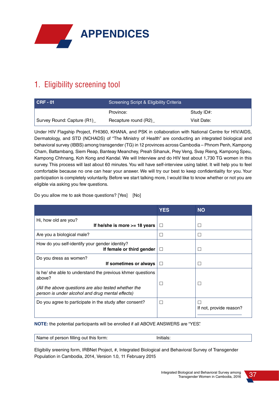

# 1. Eligibility screening tool

| $CRF - 01$                 | Screening Script & Eligibility Criteria <sup>1</sup> |             |  |
|----------------------------|------------------------------------------------------|-------------|--|
|                            | Province:                                            | Study ID#:  |  |
| Survey Round: Capture (R1) | Recapture round (R2)                                 | Visit Date: |  |

Under HIV Flagship Project, FHI360, KHANA, and PSK in collaboration with National Centre for HIV/AIDS, Dermatology, and STD (NCHADS) of "The Ministry of Health" are conducting an integrated biological and behavioral survey (IBBS) among transgender (TG) in 12 provinces across Cambodia – Phnom Penh, Kampong Cham, Battambang, Siem Reap, Banteay Meanchey, Preah Sihanuk, Prey Veng, Svay Rieng, Kampong Speu, Kampong Chhnang, Koh Kong and Kandal. We will Interview and do HIV test about 1,730 TG women in this survey. This process will last about 60 minutes. You will have self-interview using tablet. It will help you to feel comfortable because no one can hear your answer. We will try our best to keep confidentiality for you. Your participation is completely voluntarily. Before we start talking more, I would like to know whether or not you are eligible via asking you few questions.

Do you allow me to ask those questions? [Yes] [No]

|                                                                                                          | <b>YES</b> | <b>NO</b>                    |
|----------------------------------------------------------------------------------------------------------|------------|------------------------------|
| Hi, how old are you?                                                                                     |            |                              |
| If he/she is more $>= 18$ years                                                                          | П          |                              |
| Are you a biological male?                                                                               |            | П                            |
| How do you self-identify your gender identity?<br>If female or third gender                              | П          | П                            |
| Do you dress as women?<br>If sometimes or always                                                         | $\Box$     |                              |
| Is he she able to understand the previous khmer questions<br>above?                                      |            | Г                            |
| (All the above questions are also tested whether the<br>person is under alcohol and drug mental effects) |            |                              |
| Do you agree to participate in the study after consent?                                                  | П          | Г<br>If not, provide reason? |
|                                                                                                          |            |                              |

**NOTE:** the potential participants will be enrolled if all ABOVE ANSWERS are "YES".

Name of person filling out this form: Initials:

Eligibiliy sreening form, IRBNet Project, #, Integrated Biological and Behavioral Survey of Transgender Population in Cambodia, 2014, Version 1.0, 11 February 2015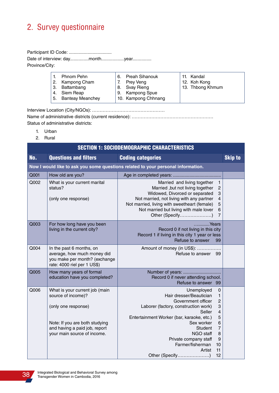# 2. Survey questionnaire

Participant ID Code: .................................. Date of interview: day...............month..................year............... Province/City:

|  | Phnom Pehn          | 6. | Preah Sihanouk      | 11. Kandal       |
|--|---------------------|----|---------------------|------------------|
|  | 2. Kampong Cham     |    | Prey Veng           | 12. Koh Kong     |
|  | 3. Battambang       |    | 8. Svay Rieng       | 13. Thbong Khmum |
|  | 4. Siem Reap        |    | 9. Kampong Spue     |                  |
|  | 5. Banteay Meanchey |    | 10. Kampong Chhnang |                  |
|  |                     |    |                     |                  |

Interview Location (City/NGOs): …………………………………………

Name of administrative districts (current residence): ………………………………………………

Status of administrative districts:

- 1. Urban
- 2. Rural

|      | <b>SECTION 1: SOCIODEMOGRAPHIC CHARACTERISTICS</b>                                                                                                                            |                                                                                                                                                                                                                                                                                                                                                                                                        |                |  |  |  |
|------|-------------------------------------------------------------------------------------------------------------------------------------------------------------------------------|--------------------------------------------------------------------------------------------------------------------------------------------------------------------------------------------------------------------------------------------------------------------------------------------------------------------------------------------------------------------------------------------------------|----------------|--|--|--|
| No.  | <b>Questions and filters</b>                                                                                                                                                  | <b>Coding categories</b>                                                                                                                                                                                                                                                                                                                                                                               | <b>Skip to</b> |  |  |  |
|      |                                                                                                                                                                               | Now I would like to ask you some questions related to your personal information.                                                                                                                                                                                                                                                                                                                       |                |  |  |  |
| Q001 | How old are you?                                                                                                                                                              |                                                                                                                                                                                                                                                                                                                                                                                                        |                |  |  |  |
| Q002 | What is your current marital<br>status?<br>(only one response)                                                                                                                | Married and living together<br>$\mathbf{1}$<br>$\overline{c}$<br>Married, but not living together<br>3<br>Widowed, Divorced or separated<br>Not married, not living with any partner<br>$\overline{4}$<br>Not married, living with sweetheart (female)<br>5<br>Not married but living with male lover<br>6<br>$\overline{7}$<br>Other (Specify)                                                        |                |  |  |  |
| Q003 | For how long have you been<br>living in the current city?                                                                                                                     | Years<br>Record 0 if not living in this city<br>Record 1 if living in this city 1 year or less<br>Refuse to answer<br>99                                                                                                                                                                                                                                                                               |                |  |  |  |
| Q004 | In the past 6 months, on<br>average, how much money did<br>you make per month? (exchange<br>rate: 4000 riel per 1 US\$)                                                       | Amount of money (in US\$):<br>Refuse to answer 99                                                                                                                                                                                                                                                                                                                                                      |                |  |  |  |
| Q005 | How many years of formal<br>education have you completed?                                                                                                                     | Number of years:<br>Record 0 if never attending school.<br>Refuse to answer 99                                                                                                                                                                                                                                                                                                                         |                |  |  |  |
| Q006 | What is your current job (main<br>source of income)?<br>(only one response)<br>Note: If you are both studying<br>and having a paid job, report<br>your main source of income. | $\mathbf 0$<br>Unemployed<br>Hair dresser/Beautician<br>1<br>$\overline{c}$<br>Government officer<br>3<br>Laborer (factory, construction work)<br>$\overline{4}$<br>Seller<br>Entertainment Worker (bar, karaoke, etc.)<br>5<br>Sex worker<br>6<br>$\overline{7}$<br><b>Student</b><br>8<br>NGO staff<br>Private company staff<br>9<br>Farmer/fisherman<br>10<br>11<br>Artist<br>Other (Specify)<br>12 |                |  |  |  |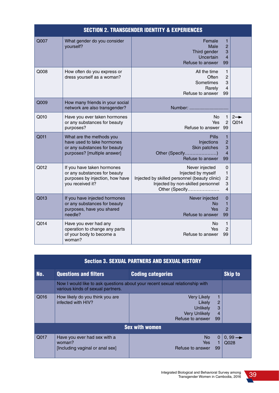|      | <b>SECTION 2. TRANSGENDER IDENTITY &amp; EXPERIENCES</b>                                                              |                                                                                                                                              |                                                             |                         |  |
|------|-----------------------------------------------------------------------------------------------------------------------|----------------------------------------------------------------------------------------------------------------------------------------------|-------------------------------------------------------------|-------------------------|--|
| Q007 | What gender do you consider<br>yourself?                                                                              | Female<br>Male<br>Third gender<br>Uncertain<br>Refuse to answer                                                                              | $\mathbf{1}$<br>$\overline{2}$<br>3<br>$\overline{4}$<br>99 |                         |  |
| Q008 | How often do you express or<br>dress yourself as a woman?                                                             | All the time<br>Often<br>Sometimes<br>Rarely<br>Refuse to answer                                                                             | 1<br>$\overline{2}$<br>3<br>4<br>99                         |                         |  |
| Q009 | How many friends in your social<br>network are also transgender?                                                      | Number:                                                                                                                                      |                                                             |                         |  |
| Q010 | Have you ever taken hormones<br>or any substances for beauty<br>purposes?                                             | No.<br>Yes<br>Refuse to answer 99                                                                                                            | $\mathbf{1}$<br>$\overline{2}$                              | $2 \rightarrow$<br>Q014 |  |
| Q011 | What are the methods you<br>have used to take hormones<br>or any substances for beauty<br>purposes? [multiple answer] | <b>Pills</b><br>Injections<br>Skin patches<br>Other (Specify)<br>Refuse to answer                                                            | 1<br>$\overline{2}$<br>3<br>$\overline{4}$<br>99            |                         |  |
| Q012 | If you have taken hormones<br>or any substances for beauty<br>purposes by injection, how have<br>you received it?     | Never injected<br>Injected by myself<br>Injected by skilled personnel (beauty clinic)<br>Injected by non-skilled personnel<br>Other (Specify | 0<br>$\mathbf{1}$<br>$\overline{c}$<br>3<br>$\overline{4}$  |                         |  |
| Q013 | If you have injected hormones<br>or any substances for beauty<br>purposes, have you shared<br>needle?                 | Never injected<br><b>No</b><br>Yes<br>Refuse to answer                                                                                       | 0<br>$\mathbf{1}$<br>$\overline{2}$<br>99                   |                         |  |
| Q014 | Have you ever had any<br>operation to change any parts<br>of your body to become a<br>woman?                          | No<br>Yes<br>Refuse to answer                                                                                                                | $\mathbf{1}$<br>$\overline{2}$<br>99                        |                         |  |

| <b>Section 3. SEXUAL PARTNERS AND SEXUAL HISTORY</b>                                                              |                                                                           |                                                                                                                        |                            |  |  |  |
|-------------------------------------------------------------------------------------------------------------------|---------------------------------------------------------------------------|------------------------------------------------------------------------------------------------------------------------|----------------------------|--|--|--|
| No.                                                                                                               | <b>Questions and filters</b>                                              | <b>Coding categories</b>                                                                                               | <b>Skip to</b>             |  |  |  |
| Now I would like to ask questions about your recent sexual relationship with<br>various kinds of sexual partners. |                                                                           |                                                                                                                        |                            |  |  |  |
| Q016                                                                                                              | How likely do you think you are<br>infected with HIV?                     | Very Likely<br>2<br>Likely<br>3<br><b>Unlikely</b><br><b>Very Unlikely</b><br>$\overline{4}$<br>Refuse to answer<br>99 |                            |  |  |  |
|                                                                                                                   |                                                                           | <b>Sex with women</b>                                                                                                  |                            |  |  |  |
| Q017                                                                                                              | Have you ever had sex with a<br>woman?<br>[Including vaginal or anal sex] | No.<br>0<br>Yes<br>Refuse to answer<br>99                                                                              | $0.99 \rightarrow$<br>Q028 |  |  |  |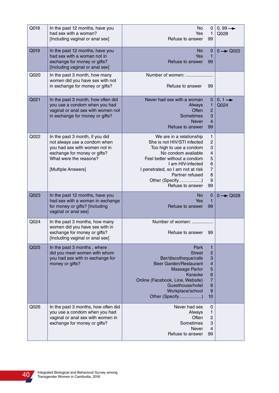| Q018 | In the past 12 months, have you<br>had sex with a woman?<br>[Including vaginal or anal sex]                                                                                      | No<br>Yes<br>Refuse to answer                                                                                                                                                                                                                                  | 0<br>1<br>99                                                            | $0, 99 \rightarrow$<br>Q028 |
|------|----------------------------------------------------------------------------------------------------------------------------------------------------------------------------------|----------------------------------------------------------------------------------------------------------------------------------------------------------------------------------------------------------------------------------------------------------------|-------------------------------------------------------------------------|-----------------------------|
| Q019 | In the past 12 months, have you<br>had sex with a woman not in<br>exchange for money or gifts?<br>[Including vaginal or anal sex]                                                | <b>No</b><br>Yes<br>Refuse to answer                                                                                                                                                                                                                           | 0<br>1<br>99                                                            | $0 \rightarrow Q$ 022       |
| Q020 | In the past 3 month, how many<br>women did you have sex with not<br>in exchange for money or gifts?                                                                              | Number of women:<br>Refuse to answer                                                                                                                                                                                                                           | 99                                                                      |                             |
| Q021 | In the past 3 month, how often did<br>you use a condom when you had<br>vaginal or anal sex with women not<br>in exchange for money or gifts?                                     | Never had sex with a woman<br>Always<br>Often<br>Sometimes<br><b>Never</b><br>Refuse to answer                                                                                                                                                                 | 0<br>1<br>$\overline{c}$<br>3<br>4<br>99                                | $0, 1 \rightarrow$<br>Q024  |
| Q022 | In the past 3 month, if you did<br>not always use a condom when<br>you had sex with women not in<br>exchange for money or gifts?<br>What were the reasons?<br>[Multiple Answers] | We are in a relationship<br>She is not HIV/STI infected<br>Too high to use a condom<br>No condom available<br>Feel better without a condom<br>I am HIV-infected<br>I penetrated, so I am not at risk<br>Partner refused<br>Other (Specify)<br>Refuse to answer | 1<br>2<br>3<br>4<br>5<br>6<br>7<br>8<br>9<br>99                         |                             |
| Q023 | In the past 12 months, have you<br>had sex with a woman in exchange<br>for money or gifts? [Including<br>vaginal or anal sex]                                                    | <b>No</b><br>Yes<br>Refuse to answer                                                                                                                                                                                                                           | 0<br>1<br>99                                                            | $0 \rightarrow Q028$        |
| Q024 | In the past 3 months, how many<br>women did you have sex with in<br>exchange for money or gifts?<br>[Including vaginal or anal sex]                                              | Number of women:<br>Refuse to answer                                                                                                                                                                                                                           | 99                                                                      |                             |
| Q025 | In the past 3 months, where<br>did you meet women with whom<br>you had sex with in exchange for<br>money or gifts?                                                               | Park<br><b>Street</b><br>Bar/discotheque/cafe<br>Beer Garden/Restaurant<br><b>Massage Parlor</b><br>Karaoke<br>Online (Facebook, Line, Website)<br>Guesthouse/hotel<br>Workplace/school<br>Other (Specify)                                                     | $\mathbf{1}$<br>$\overline{c}$<br>3<br>4<br>5<br>6<br>7<br>8<br>9<br>10 |                             |
| Q026 | In the past 3 months, how often did<br>you use a condom when you had<br>vaginal or anal sex with women in<br>exchange for money or gifts?                                        | Never had sex<br>Always<br>Often<br>Sometimes<br>Never<br>Refuse to answer                                                                                                                                                                                     | $\mathbf 0$<br>1<br>$\overline{\mathbf{c}}$<br>3<br>4<br>99             |                             |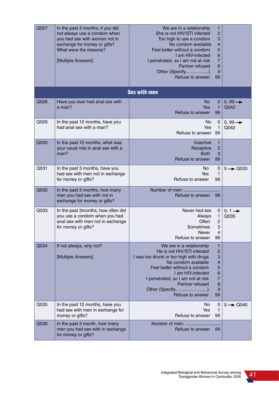| Q027 | In the past 3 months, if you did<br>not always use a condom when<br>you had sex with women not in<br>exchange for money or gifts?<br>What were the reasons?<br>[Multiple Answers] | We are in a relationship<br>She is not HIV/STI infected<br>Too high to use a condom<br>No condom available<br>Feel better without a condom<br>I am HIV-infected<br>I penetrated, so I am not at risk<br>Partner refused<br>Other (Specify)<br>Refuse to answer              | 1<br>$\overline{c}$<br>3<br>4<br>5<br>6<br>7<br>8<br>9<br>99 |                             |
|------|-----------------------------------------------------------------------------------------------------------------------------------------------------------------------------------|-----------------------------------------------------------------------------------------------------------------------------------------------------------------------------------------------------------------------------------------------------------------------------|--------------------------------------------------------------|-----------------------------|
|      |                                                                                                                                                                                   | <b>Sex with men</b>                                                                                                                                                                                                                                                         |                                                              |                             |
| Q028 | Have you ever had anal sex with<br>a man?                                                                                                                                         | <b>No</b><br>Yes<br>Refuse to answer                                                                                                                                                                                                                                        | 0<br>1<br>99                                                 | $0, 99 \rightarrow$<br>Q042 |
| Q029 | In the past 12 months, have you<br>had anal sex with a man?                                                                                                                       | No<br>Yes<br>Refuse to answer                                                                                                                                                                                                                                               | 0<br>1<br>99                                                 | $0, 99 \rightarrow$<br>Q042 |
| Q030 | In the past 12 months, what was<br>your usual role in anal sex with a<br>man?                                                                                                     | Insertive<br>Receptive<br><b>Both</b><br>Refuse to answer                                                                                                                                                                                                                   | 1<br>$\overline{c}$<br>3<br>99                               |                             |
| Q031 | In the past 3 months, have you<br>had sex with men not in exchange<br>for money or gifts?                                                                                         | No.<br>Yes<br>Refuse to answer                                                                                                                                                                                                                                              | $\mathbf 0$<br>1<br>99                                       | $0 \rightarrow Q033$        |
| Q032 | In the past 3 months, how many<br>men you had sex with not in<br>exchange for money or gifts?                                                                                     | Number of men:<br>Refuse to answer                                                                                                                                                                                                                                          | 99                                                           |                             |
| Q033 | In the past 3months, how often did<br>you use a condom when you had<br>anal sex with men not in exchange<br>for money or gifts?                                                   | Never had sex<br>Always<br><b>Often</b><br>Sometimes<br><b>Never</b><br>Refuse to answer                                                                                                                                                                                    | 0<br>1<br>$\overline{c}$<br>3<br>4<br>99                     | $0, 1 \rightarrow$<br>Q035  |
| Q034 | If not always, why not?<br>[Multiple Answers]                                                                                                                                     | We are in a relationship<br>He is not HIV/STI infected<br>I was too drunk or too high with drugs<br>No condom available<br>Feel better without a condom<br>I am HIV-infected<br>I penetrated, so I am not at risk<br>Partner refused<br>Other (Specify)<br>Refuse to answer | 1<br>2<br>3<br>4<br>5<br>6<br>7<br>8<br>9<br>99              |                             |
| Q035 | In the past 12 months, have you<br>had sex with men in exchange for<br>money or gifts?                                                                                            | No.<br>Yes<br>Refuse to answer                                                                                                                                                                                                                                              | 0<br>1<br>99                                                 | $0 \rightarrow Q$ 040       |
| Q036 | In the past 3 month, how many<br>men you had sex with in exchange<br>for money or gifts?                                                                                          | Number of men:<br>Refuse to answer                                                                                                                                                                                                                                          | -99                                                          |                             |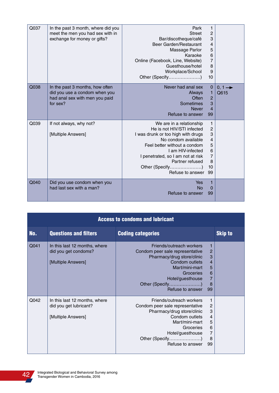| Q037 | In the past 3 month, where did you<br>meet the men you had sex with in<br>exchange for money or gifts?         | Park<br><b>Street</b><br>Bar/discotheque/café<br>Beer Garden/Restaurant<br>Massage Parlor<br>Karaoke<br>Online (Facebook, Line, Website)<br>Guesthouse/hotel<br>Workplace/School<br>Other (Specify)                                                                     | 1<br>$\overline{c}$<br>3<br>4<br>5<br>$6\phantom{a}$<br>7<br>8<br>9<br>10  |                            |
|------|----------------------------------------------------------------------------------------------------------------|-------------------------------------------------------------------------------------------------------------------------------------------------------------------------------------------------------------------------------------------------------------------------|----------------------------------------------------------------------------|----------------------------|
| Q038 | In the past 3 months, how often<br>did you use a condom when you<br>had anal sex with men you paid<br>for sex? | Never had anal sex<br>Always<br>Often<br>Sometimes<br><b>Never</b><br>Refuse to answer                                                                                                                                                                                  | $\mathbf 0$<br>1<br>$\overline{2}$<br>3<br>4<br>99                         | $0, 1 \rightarrow$<br>Q615 |
| Q039 | If not always, why not?<br>[Multiple Answers]                                                                  | We are in a relationship<br>He is not HIV/STI infected<br>I was drunk or too high with drugs<br>No condom available<br>Feel better without a condom<br>I am HIV-infected<br>I penetrated, so I am not at risk<br>Partner refused<br>Other (Specify)<br>Refuse to answer | 1<br>2<br>3<br>$\overline{4}$<br>5<br>6<br>$\overline{7}$<br>8<br>10<br>99 |                            |
| Q040 | Did you use condom when you<br>had last sex with a man?                                                        | Yes<br><b>No</b><br>Refuse to answer                                                                                                                                                                                                                                    | 1<br>0<br>99                                                               |                            |

| <b>Access to condoms and lubricant</b> |                                                                               |                                                                                                                                                                                                       |                                                                      |                |
|----------------------------------------|-------------------------------------------------------------------------------|-------------------------------------------------------------------------------------------------------------------------------------------------------------------------------------------------------|----------------------------------------------------------------------|----------------|
| No.                                    | <b>Questions and filters</b>                                                  | <b>Coding categories</b>                                                                                                                                                                              |                                                                      | <b>Skip to</b> |
| Q041                                   | In this last 12 months, where<br>did you get condoms?<br>[Multiple Answers]   | Friends/outreach workers<br>Condom peer sale representative<br>Pharmacy/drug store/clinic<br>Condom outlets<br>Mart/mini-mart<br>Groceries<br>Hotel/guesthouse<br>Other (Specify)<br>Refuse to answer | 1<br>$\overline{2}$<br>3<br>$\overline{4}$<br>5<br>6<br>7<br>8<br>99 |                |
| Q042                                   | In this last 12 months, where<br>did you get lubricant?<br>[Multiple Answers] | Friends/outreach workers<br>Condom peer sale representative<br>Pharmacy/drug store/clinic<br>Condom outlets<br>Mart/mini-mart<br>Groceries<br>Hotel/guesthouse<br>Other (Specify)<br>Refuse to answer | 1<br>2<br>3<br>4<br>5<br>6<br>$\overline{7}$<br>8<br>99              |                |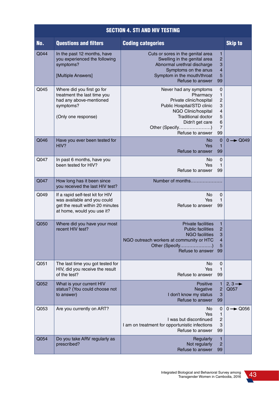|      | <b>SECTION 4. STI AND HIV TESTING</b>                                                                                             |                                                                                                                                                                                                           |                                                                                                       |                                        |  |
|------|-----------------------------------------------------------------------------------------------------------------------------------|-----------------------------------------------------------------------------------------------------------------------------------------------------------------------------------------------------------|-------------------------------------------------------------------------------------------------------|----------------------------------------|--|
| No.  | <b>Questions and filters</b>                                                                                                      | <b>Coding categories</b>                                                                                                                                                                                  |                                                                                                       | <b>Skip to</b>                         |  |
| Q044 | In the past 12 months, have<br>you experienced the following<br>symptoms?<br>[Multiple Answers]                                   | Cuts or sores in the genital area<br>Swelling in the genital area<br>Abnormal urethral discharge<br>Symptoms on the anus<br>Symptom in the mouth/throat<br>Refuse to answer                               | $\mathbf{1}$<br>$\overline{c}$<br>3<br>$\overline{\mathbf{4}}$<br>5<br>99                             |                                        |  |
| Q045 | Where did you first go for<br>treatment the last time you<br>had any above-mentioned<br>symptoms?<br>(Only one response)          | Never had any symptoms<br>Pharmacy<br>Private clinic/hospital<br>Public Hospital/STD clinic<br>NGO Clinic/hospital<br><b>Traditional doctor</b><br>Didn't get care<br>Other (Specify)<br>Refuse to answer | 0<br>$\mathbf{1}$<br>$\overline{c}$<br>3<br>$\overline{\mathbf{4}}$<br>5<br>6<br>$\overline{7}$<br>99 |                                        |  |
| Q046 | Have you ever been tested for<br>HIV?                                                                                             | No<br>Yes<br>Refuse to answer                                                                                                                                                                             | $\mathbf 0$<br>$\mathbf{1}$<br>99                                                                     | $\rightarrow$ Q049<br>$\overline{0}$ - |  |
| Q047 | In past 6 months, have you<br>been tested for HIV?                                                                                | No<br>Yes<br>Refuse to answer                                                                                                                                                                             | 0<br>$\mathbf{1}$<br>99                                                                               |                                        |  |
| Q047 | How long has it been since<br>you received the last HIV test?                                                                     | Number of months                                                                                                                                                                                          |                                                                                                       |                                        |  |
| Q049 | If a rapid self-test kit for HIV<br>was available and you could<br>get the result within 20 minutes<br>at home, would you use it? | No<br>Yes<br>Refuse to answer                                                                                                                                                                             | 0<br>1<br>99                                                                                          |                                        |  |
| Q050 | Where did you have your most<br>recent HIV test?                                                                                  | Private facilities<br><b>Public facilities</b><br><b>NGO</b> facilities<br>NGO outreach workers at community or HTC<br>Other (Specify)<br>Refuse to answer                                                | $\mathbf{1}$<br>$\overline{2}$<br>3<br>$\overline{\mathbf{r}}$<br>5<br>99                             |                                        |  |
| Q051 | The last time you got tested for<br>HIV, did you receive the result<br>of the test?                                               | No<br>Yes<br>Refuse to answer                                                                                                                                                                             | 0<br>$\mathbf{1}$<br>99                                                                               |                                        |  |
| Q052 | What is your current HIV<br>status? (You could choose not<br>to answer)                                                           | <b>Positive</b><br>Negative<br>I don't know my status<br>Refuse to answer                                                                                                                                 | $\mathbf{1}$<br>$\overline{c}$<br>3<br>99                                                             | $2, 3 \rightarrow$<br>Q057             |  |
| Q053 | Are you currently on ART?                                                                                                         | No<br>Yes<br>I was but discontinued<br>I am on treatment for opportunistic infections<br>Refuse to answer                                                                                                 | 0<br>$\mathbf{1}$<br>$\overline{2}$<br>3<br>99                                                        | $0 \rightarrow Q$ 056                  |  |
| Q054 | Do you take ARV regularly as<br>prescribed?                                                                                       | Regularly<br>Not regularly<br>Refuse to answer                                                                                                                                                            | $\mathbf{1}$<br>$\overline{c}$<br>99                                                                  |                                        |  |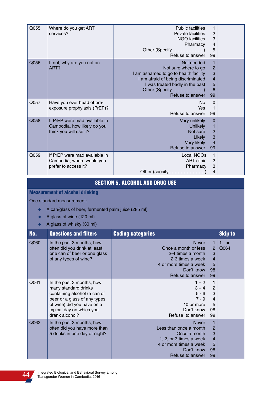| Q055 | Where do you get ART<br>services?                                                      | <b>Public facilities</b><br>Private facilities<br><b>NGO</b> facilities<br>Pharmacy<br>Other (Specify)<br>Refuse to answer                                                                  | 1<br>$\overline{c}$<br>$\ensuremath{\mathsf{3}}$<br>$\overline{4}$<br>5<br>99 |  |
|------|----------------------------------------------------------------------------------------|---------------------------------------------------------------------------------------------------------------------------------------------------------------------------------------------|-------------------------------------------------------------------------------|--|
| Q056 | If not, why are you not on<br>ART?                                                     | Not needed<br>Not sure where to go<br>I am ashamed to go to health facility<br>I am afraid of being discriminated<br>I was treated badly in the past<br>Other (Specify)<br>Refuse to answer | 1<br>$\overline{c}$<br>3<br>$\overline{4}$<br>5<br>6<br>99                    |  |
| Q057 | Have you ever head of pre-<br>exposure prophylaxis (PrEP)?                             | No<br>Yes<br>Refuse to answer                                                                                                                                                               | $\mathbf 0$<br>1<br>99                                                        |  |
| Q058 | If PrEP were mad available in<br>Cambodia, how likely do you<br>think you will use it? | Very unlikely<br>Unlikely<br>Not sure<br>Likely<br>Very likely<br>Refuse to answer                                                                                                          | $\mathbf 0$<br>1<br>$\overline{c}$<br>3<br>$\overline{4}$<br>99               |  |
| Q059 | If PrEP were mad available in<br>Cambodia, where would you<br>prefer to access it?     | Local NGOs<br><b>ART</b> clinic<br>Pharmacy<br>Other (specify)                                                                                                                              | 1<br>$\overline{2}$<br>3<br>4                                                 |  |

### SECTION 5. ALCOHOL AND DRUG USE

Measurement of alcohol drinking

One standard measurement:

- A can/glass of beer, fermented palm juice (285 ml)
- ◆ A glass of wine (120 ml)
- $\leftrightarrow$  A glass of whisky (30 ml)

| No.  | <b>Questions and filters</b>                                                                                                                                                                  | <b>Coding categories</b>                                                                                                                      |                                                             | <b>Skip to</b>          |
|------|-----------------------------------------------------------------------------------------------------------------------------------------------------------------------------------------------|-----------------------------------------------------------------------------------------------------------------------------------------------|-------------------------------------------------------------|-------------------------|
| Q060 | In the past 3 months, how<br>often did you drink at least<br>one can of beer or one glass<br>of any types of wine?                                                                            | <b>Never</b><br>Once a month or less<br>2-4 times a month<br>2-3 times a week<br>4 or more times a week<br>Don't know<br>Refuse to answer     | 1<br>$\overline{2}$<br>3<br>$\overline{4}$<br>5<br>98<br>99 | $1 \rightarrow$<br>Q064 |
| Q061 | In the past 3 months, how<br>many standard drinks<br>containing alcohol (a can of<br>beer or a glass of any types<br>of wine) did you have on a<br>typical day on which you<br>drank alcohol? | $1 - 2$<br>$3 - 4$<br>$5 - 6$<br>$7 - 9$<br>10 or more<br>Don't know<br>Refuse to answer                                                      | $\mathbf{1}$<br>2<br>3<br>$\overline{4}$<br>5<br>98<br>99   |                         |
| Q062 | In the past 3 months, how<br>often did you have more than<br>5 drinks in one day or night?                                                                                                    | <b>Never</b><br>Less than once a month<br>Once a month<br>1, 2, or 3 times a week<br>4 or more times a week<br>Don't know<br>Refuse to answer | 1<br>$\overline{2}$<br>3<br>4<br>5<br>98<br>99              |                         |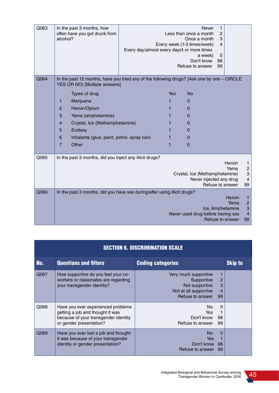| Q063 | In the past 3 months, how<br>often have you got drunk from<br>alcohol?                                                      | Every day/almost every day(4 or more times |     | Less than once a month<br>Once a month<br>Every week (1-3 times/week)<br>Don't know<br>Refuse to answer | <b>Never</b><br>$\mathbf{1}$<br>$\overline{2}$<br>3<br>$\overline{4}$<br>a week)<br>5<br>98<br>99 |                |                                                           |
|------|-----------------------------------------------------------------------------------------------------------------------------|--------------------------------------------|-----|---------------------------------------------------------------------------------------------------------|---------------------------------------------------------------------------------------------------|----------------|-----------------------------------------------------------|
| Q064 | In the past 12 months, have you tried any of the following drugs? (Ask one by one - CIRCLE<br>YES OR NO) [Multiple answers] |                                            |     |                                                                                                         |                                                                                                   |                |                                                           |
|      | Types of drug                                                                                                               |                                            | Yes | <b>No</b>                                                                                               |                                                                                                   |                |                                                           |
|      | Marijuana<br>1                                                                                                              |                                            | 1   | 0                                                                                                       |                                                                                                   |                |                                                           |
|      | $\overline{2}$<br>Heroin/Opium                                                                                              |                                            | 1   | 0                                                                                                       |                                                                                                   |                |                                                           |
|      | 3<br>Yama (amphetamine)                                                                                                     |                                            | 1   | 0                                                                                                       |                                                                                                   |                |                                                           |
|      | $\overline{4}$<br>Crystal, Ice (Methamphetamine)                                                                            |                                            | 1   | 0                                                                                                       |                                                                                                   |                |                                                           |
|      | 5<br>Ecstasy                                                                                                                |                                            | 1   | 0                                                                                                       |                                                                                                   |                |                                                           |
|      | Inhalants (glue, paint, petrol, spray can)<br>6                                                                             |                                            | 1   | 0                                                                                                       |                                                                                                   |                |                                                           |
|      | $\overline{7}$<br>Other                                                                                                     |                                            | 1   | $\Omega$                                                                                                |                                                                                                   |                |                                                           |
| Q065 | In the past 3 months, did you inject any illicit drugs?                                                                     |                                            |     |                                                                                                         |                                                                                                   |                |                                                           |
|      |                                                                                                                             |                                            |     | Crystal, Ice (Methamphetamine)                                                                          | Never injected any drug<br>Refuse to answer                                                       | Heroin<br>Yama | 1<br>$\overline{\mathbf{c}}$<br>3<br>4<br>99              |
| Q066 | In the past 3 months, did you have sex during/after using illicit drugs?                                                    |                                            |     |                                                                                                         |                                                                                                   |                |                                                           |
|      |                                                                                                                             |                                            |     | Never used drug before having sex                                                                       | Ice, Amphetamine<br>Refuse to answer                                                              | Heroin<br>Yama | 1<br>$\overline{c}$<br>3<br>$\overline{\mathbf{4}}$<br>99 |

| <b>SECTION 6. DISCRIMINATION SCALE</b> |                                                                                                                                           |                                                                                                                        |                |  |
|----------------------------------------|-------------------------------------------------------------------------------------------------------------------------------------------|------------------------------------------------------------------------------------------------------------------------|----------------|--|
| No.                                    | <b>Questions and filters</b>                                                                                                              | <b>Coding categories</b>                                                                                               | <b>Skip to</b> |  |
| Q067                                   | How supportive do you feel your co-<br>workers or classmates are regarding<br>your transgender identity?                                  | Very much supportive<br>Supportive<br>2<br>3<br>Not supportive<br>Not at all supportive<br>4<br>Refuse to answer<br>99 |                |  |
| Q068                                   | Have you ever experienced problems<br>getting a job and thought it was<br>because of your transgender identity<br>or gender presentation? | No.<br>$\Omega$<br>Yes<br>Don't know<br>98<br>Refuse to answer<br>99                                                   |                |  |
| Q069                                   | Have you ever lost a job and thought<br>it was because of your transgender<br>identity or gender presentation?                            | <b>No</b><br>$\Omega$<br>Yes.<br>Don't know<br>98<br>Refuse to answer<br>99                                            |                |  |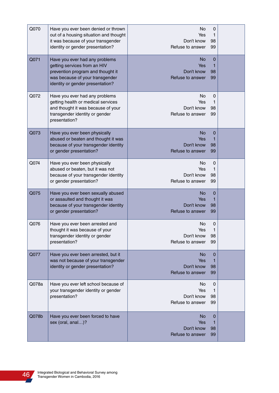| Q070  | Have you ever been denied or thrown<br>out of a housing situation and thought<br>it was because of your transgender<br>identity or gender presentation?                    | No<br>Yes<br>Don't know<br>Refuse to answer        | 0<br>1<br>98<br>99           |  |
|-------|----------------------------------------------------------------------------------------------------------------------------------------------------------------------------|----------------------------------------------------|------------------------------|--|
| Q071  | Have you ever had any problems<br>getting services from an HIV<br>prevention program and thought it<br>was because of your transgender<br>identity or gender presentation? | No.<br>Yes<br>Don't know<br>Refuse to answer       | 0<br>1<br>98<br>99           |  |
| Q072  | Have you ever had any problems<br>getting health or medical services<br>and thought it was because of your<br>transgender identity or gender<br>presentation?              | No.<br>Yes<br>Don't know<br>Refuse to answer       | 0<br>1<br>98<br>99           |  |
| Q073  | Have you ever been physically<br>abused or beaten and thought it was<br>because of your transgender identity<br>or gender presentation?                                    | No<br>Yes<br>Don't know<br>Refuse to answer        | 0<br>1<br>98<br>99           |  |
| Q074  | Have you ever been physically<br>abused or beaten, but it was not<br>because of your transgender identity<br>or gender presentation?                                       | No.<br>Yes<br>Don't know<br>Refuse to answer       | 0<br>1<br>98<br>99           |  |
| Q075  | Have you ever been sexually abused<br>or assaulted and thought it was<br>because of your transgender identity<br>or gender presentation?                                   | <b>No</b><br>Yes<br>Don't know<br>Refuse to answer | 0<br>1<br>98<br>99           |  |
| Q076  | Have you ever been arrested and<br>thought it was because of your<br>transgender identity or gender<br>presentation?                                                       | No<br>Yes<br>Don't know<br>Refuse to answer        | 0<br>1<br>98<br>99           |  |
| Q077  | Have you ever been arrested, but it<br>was not because of your transgender<br>identity or gender presentation?                                                             | No<br>Yes<br>Don't know<br>Refuse to answer        | 0<br>1<br>98<br>99           |  |
| Q078a | Have you ever left school because of<br>your transgender identity or gender<br>presentation?                                                                               | No<br>Yes<br>Don't know<br>Refuse to answer        | 0<br>1<br>98<br>99           |  |
| Q078b | Have you ever been forced to have<br>sex (oral, anal)?                                                                                                                     | No<br>Yes<br>Don't know<br>Refuse to answer        | $\mathbf 0$<br>1<br>98<br>99 |  |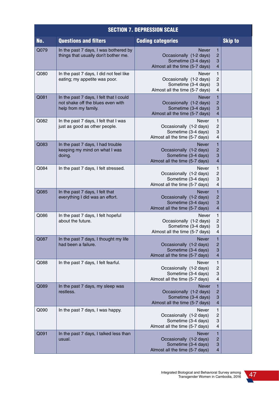| <b>SECTION 7. DEPRESSION SCALE</b> |                                                                                                      |                                                                                                  |                                                                |  |
|------------------------------------|------------------------------------------------------------------------------------------------------|--------------------------------------------------------------------------------------------------|----------------------------------------------------------------|--|
| No.                                | <b>Questions and filters</b>                                                                         | <b>Coding categories</b>                                                                         | <b>Skip to</b>                                                 |  |
| Q079                               | In the past 7 days, I was bothered by<br>things that usually don't bother me.                        | <b>Never</b><br>Occasionally (1-2 days)<br>Sometime (3-4 days)<br>Almost all the time (5-7 days) | 1<br>$\overline{c}$<br>3<br>4                                  |  |
| Q080                               | In the past 7 days, I did not feel like<br>eating; my appetite was poor.                             | Never<br>Occasionally (1-2 days)<br>Sometime (3-4 days)<br>Almost all the time (5-7 days)        | 1<br>2<br>3<br>4                                               |  |
| Q081                               | In the past 7 days, I felt that I could<br>not shake off the blues even with<br>help from my family. | <b>Never</b><br>Occasionally (1-2 days)<br>Sometime (3-4 days)<br>Almost all the time (5-7 days) | 1<br>$\overline{c}$<br>З<br>4                                  |  |
| Q082                               | In the past 7 days, I felt that I was<br>just as good as other people.                               | <b>Never</b><br>Occasionally (1-2 days)<br>Sometime (3-4 days)<br>Almost all the time (5-7 days) | 1<br>$\overline{c}$<br>3<br>$\overline{\mathbf{4}}$            |  |
| Q083                               | In the past 7 days, I had trouble<br>keeping my mind on what I was<br>doing.                         | <b>Never</b><br>Occasionally (1-2 days)<br>Sometime (3-4 days)<br>Almost all the time (5-7 days) | $\mathbf{1}$<br>$\overline{c}$<br>3<br>$\overline{\mathbf{4}}$ |  |
| Q084                               | In the past 7 days, I felt stressed.                                                                 | <b>Never</b><br>Occasionally (1-2 days)<br>Sometime (3-4 days)<br>Almost all the time (5-7 days) | $\mathbf{1}$<br>$\overline{c}$<br>3<br>4                       |  |
| Q085                               | In the past 7 days, I felt that<br>everything I did was an effort.                                   | <b>Never</b><br>Occasionally (1-2 days)<br>Sometime (3-4 days)<br>Almost all the time (5-7 days) | 1<br>$\overline{c}$<br>3<br>4                                  |  |
| Q086                               | In the past 7 days, I felt hopeful<br>about the future.                                              | Never<br>Occasionally (1-2 days)<br>Sometime (3-4 days)<br>Almost all the time (5-7 days)        | 1<br>2<br>З<br>4                                               |  |
| Q087                               | In the past 7 days, I thought my life<br>had been a failure.                                         | <b>Never</b><br>Occasionally (1-2 days)<br>Sometime (3-4 days)<br>Almost all the time (5-7 days) | 1<br>$\overline{c}$<br>3<br>4                                  |  |
| Q088                               | In the past 7 days, I felt fearful.                                                                  | Never<br>Occasionally (1-2 days)<br>Sometime (3-4 days)<br>Almost all the time (5-7 days)        | 1<br>$\overline{c}$<br>3<br>4                                  |  |
| Q089                               | In the past 7 days, my sleep was<br>restless.                                                        | <b>Never</b><br>Occasionally (1-2 days)<br>Sometime (3-4 days)<br>Almost all the time (5-7 days) | 1<br>$\overline{c}$<br>3<br>4                                  |  |
| Q090                               | In the past 7 days, I was happy.                                                                     | <b>Never</b><br>Occasionally (1-2 days)<br>Sometime (3-4 days)<br>Almost all the time (5-7 days) | 1<br>2<br>3<br>4                                               |  |
| Q091                               | In the past 7 days, I talked less than<br>usual.                                                     | <b>Never</b><br>Occasionally (1-2 days)<br>Sometime (3-4 days)<br>Almost all the time (5-7 days) | $\mathbf{1}$<br>$\overline{c}$<br>3<br>4                       |  |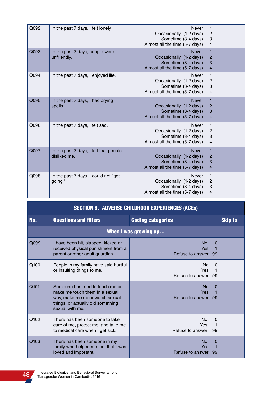| Q092 | In the past 7 days, I felt lonely.                     | <b>Never</b><br>Occasionally (1-2 days)<br>Sometime (3-4 days)<br>Almost all the time (5-7 days) | 1<br>$\overline{c}$<br>3<br>4              |  |
|------|--------------------------------------------------------|--------------------------------------------------------------------------------------------------|--------------------------------------------|--|
| Q093 | In the past 7 days, people were<br>unfriendly.         | <b>Never</b><br>Occasionally (1-2 days)<br>Sometime (3-4 days)<br>Almost all the time (5-7 days) | 1<br>$\overline{c}$<br>3<br>$\overline{4}$ |  |
| Q094 | In the past 7 days, I enjoyed life.                    | Never<br>Occasionally (1-2 days)<br>Sometime (3-4 days)<br>Almost all the time (5-7 days)        | 1<br>2<br>3<br>4                           |  |
| Q095 | In the past 7 days, I had crying<br>spells.            | <b>Never</b><br>Occasionally (1-2 days)<br>Sometime (3-4 days)<br>Almost all the time (5-7 days) | 1<br>$\overline{c}$<br>3<br>$\overline{4}$ |  |
| Q096 | In the past 7 days, I felt sad.                        | <b>Never</b><br>Occasionally (1-2 days)<br>Sometime (3-4 days)<br>Almost all the time (5-7 days) | 1<br>$\overline{c}$<br>3<br>4              |  |
| Q097 | In the past 7 days, I felt that people<br>disliked me. | <b>Never</b><br>Occasionally (1-2 days)<br>Sometime (3-4 days)<br>Almost all the time (5-7 days) | 1<br>$\overline{c}$<br>3<br>$\overline{4}$ |  |
| Q098 | In the past 7 days, I could not "get<br>going."        | Never<br>Occasionally (1-2 days)<br>Sometime (3-4 days)<br>Almost all the time (5-7 days)        | 1<br>$\overline{c}$<br>3<br>$\overline{4}$ |  |

| <b>SECTION 8. ADVERSE CHILDHOOD EXPERIENCES (ACES)</b> |                                                                                                                                                               |                                                      |                |  |  |
|--------------------------------------------------------|---------------------------------------------------------------------------------------------------------------------------------------------------------------|------------------------------------------------------|----------------|--|--|
| No.                                                    | <b>Questions and filters</b>                                                                                                                                  | <b>Coding categories</b>                             | <b>Skip to</b> |  |  |
|                                                        | When I was growing up                                                                                                                                         |                                                      |                |  |  |
| Q099                                                   | I have been hit, slapped, kicked or<br>received physical punishment from a<br>parent or other adult guardian.                                                 | No.<br>0<br><b>Yes</b><br>Refuse to answer<br>99     |                |  |  |
| Q100                                                   | People in my family have said hurtful<br>or insulting things to me.                                                                                           | No<br>$\Omega$<br>Yes<br>Refuse to answer<br>.99     |                |  |  |
| Q101                                                   | Someone has tried to touch me or<br>make me touch them in a sexual<br>way, make me do or watch sexual<br>things, or actually did something<br>sexual with me. | N <sub>o</sub><br>0<br>Yes<br>Refuse to answer<br>99 |                |  |  |
| Q102                                                   | There has been someone to take<br>care of me, protect me, and take me<br>to medical care when I get sick.                                                     | No.<br>0<br>Yes<br>Refuse to answer<br>99            |                |  |  |
| Q <sub>103</sub>                                       | There has been someone in my<br>family who helped me feel that I was<br>loved and important.                                                                  | No.<br>0<br><b>Yes</b><br>Refuse to answer<br>99     |                |  |  |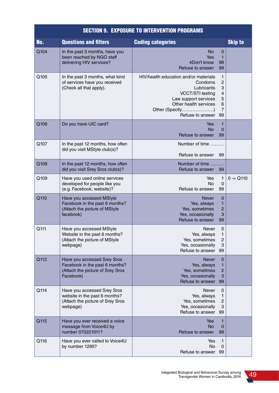### SECTION 9. EXPOSURE TO INTERVENTION PROGRAMS

| No.  | <b>Questions and filters</b>                                                                                   | <b>Coding categories</b>                                                                                                                                                                                                          | <b>Skip to</b> |
|------|----------------------------------------------------------------------------------------------------------------|-----------------------------------------------------------------------------------------------------------------------------------------------------------------------------------------------------------------------------------|----------------|
| Q104 | In the past 3 months, have you<br>been reached by NGO staff<br>delivering HIV services?                        | No<br>$\mathbf 0$<br>1<br>Yes<br>4Don't know<br>98<br>Refuse to answer<br>99                                                                                                                                                      |                |
| Q105 | In the past 3 months, what kind<br>of services have you received<br>(Check all that apply).                    | HIV/health education and/or materials<br>1<br>2<br>Condoms<br>3<br>Lubricants<br>VCCT/STI testing<br>$\overline{4}$<br>5<br>Law support services<br>Other health services<br>6<br>Other (Specify)<br>7<br>Refuse to answer<br>-99 |                |
| Q106 | Do you have UIC card?                                                                                          | 1<br>Yes<br><b>No</b><br>0<br>Refuse to answer<br>99                                                                                                                                                                              |                |
| Q107 | In the past 12 months, how often<br>did you visit MStyle club(s)?                                              | Number of time<br>Refuse to answer<br>99                                                                                                                                                                                          |                |
| Q108 | In the past 12 months, how often<br>did you visit Srey Sros club(s)?                                           | Number of time<br>Refuse to answer<br>99                                                                                                                                                                                          |                |
| Q109 | Have you used online services<br>developed for people like you<br>(e.g. Facebook, website)?                    | Yes<br>$\mathbf{1}$<br><b>No</b><br>0<br>Refuse to answer<br>99                                                                                                                                                                   | $0 - Q110$     |
| Q110 | Have you accessed MStyle<br>Facebook in the past 6 months?<br>(Attach the picture of MStyle<br>facebook)       | <b>Never</b><br>$\mathbf 0$<br>1<br>Yes, always<br>Yes, sometimes<br>$\overline{2}$<br>3<br>Yes, occasionally<br>Refuse to answer<br>99                                                                                           |                |
| Q111 | Have you accessed MStyle<br>Website in the past 6 months?<br>(Attach the picture of MStyle<br>webpage)         | $\mathbf 0$<br>Never<br>1<br>Yes, always<br>2<br>Yes, sometimes<br>3<br>Yes, occasionally<br>Refuse to answer 99                                                                                                                  |                |
| Q112 | Have you accessed Srey Sros<br>Facebook in the past 6 months?<br>(Attach the picture of Srey Sros<br>Facebook) | <b>Never</b><br>$\mathbf 0$<br>Yes, always<br>1<br>2<br>Yes, sometimes<br>Yes, occasionally<br>3<br>Refuse to answer<br>99                                                                                                        |                |
| Q114 | Have you accessed Srey Sros<br>website in the past 6 months?<br>(Attach the picture of Srey Sros<br>webpage)   | Never<br>0<br>Yes, always<br>1<br>Yes, sometimes<br>$\overline{c}$<br>Yes, occasionally<br>3<br>Refuse to answer 99                                                                                                               |                |
| Q115 | Have you ever received a voice<br>message from Voice4U by<br>number 070221011?                                 | Yes<br>1<br><b>No</b><br>$\mathbf 0$<br>Refuse to answer<br>99                                                                                                                                                                    |                |
| Q116 | Have you ever called to Voice4U<br>by number 1295?                                                             | 1<br>Yes<br>No.<br>0<br>Refuse to answer 99                                                                                                                                                                                       |                |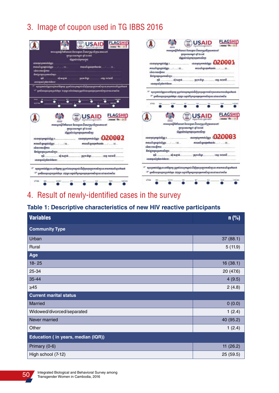# 3. Image of coupon used in TG IBBS 2016



# 4. Result of newly-identified cases in the survey

## **Table 1: Descriptive characteristics of new HIV reactive participants**

| <b>Variables</b>                   | n(%)      |
|------------------------------------|-----------|
| <b>Community Type</b>              |           |
| Urban                              | 37(88.1)  |
| Rural                              | 5(11.9)   |
| Age                                |           |
| $18 - 25$                          | 16(38.1)  |
| 25-34                              | 20 (47.6) |
| 35-44                              | 4(9.5)    |
| $\geq 45$                          | 2(4.8)    |
| <b>Current marital status</b>      |           |
| <b>Married</b>                     | 0(0.0)    |
| Widowed/divorced/separated         | 1(2.4)    |
| Never married                      | 40 (95.2) |
| Other                              | 1(2.4)    |
| Education (in years, median (IQR)) |           |
| Primary (0-6)                      | 11(26.2)  |
| High school (7-12)                 | 25(59.5)  |

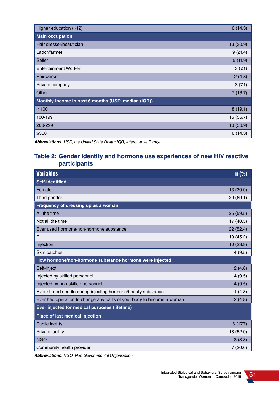| Higher education (>12)                              | 6(14.3)   |  |
|-----------------------------------------------------|-----------|--|
| <b>Main occupation</b>                              |           |  |
| Hair dresser/beautician                             | 13 (30.9) |  |
| Labor/farmer                                        | 9(21.4)   |  |
| <b>Seller</b>                                       | 5(11.9)   |  |
| <b>Entertainment Worker</b>                         | 3(7.1)    |  |
| Sex worker                                          | 2(4.8)    |  |
| Private company                                     | 3(7.1)    |  |
| Other                                               | 7(16.7)   |  |
| Monthly income in past 6 months (USD, median (IQR)) |           |  |
| < 100                                               | 8(19.1)   |  |
| 100-199                                             | 15(35.7)  |  |
| 200-299                                             | 13 (30.9) |  |
| $\geq 300$                                          | 6(14.3)   |  |

**Abbreviations:** USD, the United State Dollar; IQR, Interquartile Range.

### **Table 2: Gender identity and hormone use experiences of new HIV reactive participants**

| <b>Variables</b>                                                      | n(% )     |
|-----------------------------------------------------------------------|-----------|
| <b>Self-identified</b>                                                |           |
| Female                                                                | 13 (30.9) |
| Third gender                                                          | 29 (69.1) |
| Frequency of dressing up as a woman                                   |           |
| All the time                                                          | 25(59.5)  |
| Not all the time                                                      | 17 (40.5) |
| Ever used hormone/non-hormone substance                               | 22(52.4)  |
| Pill                                                                  | 19 (45.2) |
| Injection                                                             | 10(23.8)  |
| Skin patches                                                          | 4(9.5)    |
| How hormone/non-hormone substance hormone were injected               |           |
| Self-inject                                                           | 2(4.8)    |
| Injected by skilled personnel                                         | 4(9.5)    |
| Injected by non-skilled personnel                                     | 4(9.5)    |
| Ever shared needle during injecting hormone/beauty substance          | 1(4.8)    |
| Ever had operation to change any parts of your body to become a woman | 2(4.8)    |
| Ever injected for medical purposes (lifetime)                         |           |
| Place of last medical injection                                       |           |
| <b>Public facility</b>                                                | 6(17.7)   |
| Private facility                                                      | 18 (52.9) |
| <b>NGO</b>                                                            | 3(8.8)    |
| Community health provider                                             | 7(20.6)   |

**Abbreviations:** NGO, Non-Governmental Organization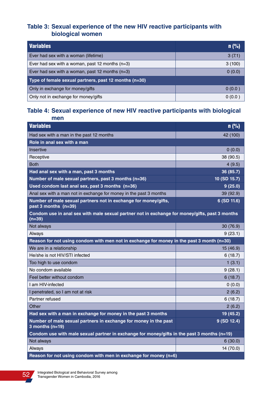### **Table 3: Sexual experience of the new HIV reactive participants with biological women**

| Variables                                             | n(%)   |  |
|-------------------------------------------------------|--------|--|
| Ever had sex with a woman (lifetime)                  | 3(7.1) |  |
| Ever had sex with a woman, past 12 months $(n=3)$     | 3(100) |  |
| Ever had sex with a woman, past 12 months $(n=3)$     | 0(0.0) |  |
| Type of female sexual partners, past 12 months (n=30) |        |  |
| Only in exchange for money/gifts                      | 0(0.0) |  |
| Only not in exchange for money/gifts                  | 0(0.0) |  |

### **Table 4: Sexual experience of new HIV reactive participants with biological men**

| <b>Variables</b>                                                                                           | n(%)         |
|------------------------------------------------------------------------------------------------------------|--------------|
| Had sex with a man in the past 12 months                                                                   | 42 (100)     |
| Role in anal sex with a man                                                                                |              |
| Insertive                                                                                                  | 0(0.0)       |
| Receptive                                                                                                  | 38 (90.5)    |
| <b>Both</b>                                                                                                | 4(9.5)       |
| Had anal sex with a man, past 3 months                                                                     | 36 (85.7)    |
| Number of male sexual partners, past 3 months (n=36)                                                       | 10 (SD 15.7) |
| Used condom last anal sex, past 3 months (n=36)                                                            | 9(25.0)      |
| Anal sex with a man not in exchange for money in the past 3 months                                         | 39 (92.9)    |
| Number of male sexual partners not in exchange for money/gifts,<br>past 3 months (n=39)                    | 6 (SD 11.6)  |
| Condom use in anal sex with male sexual partner not in exchange for money/gifts, past 3 months<br>$(n=39)$ |              |
| Not always                                                                                                 | 30 (76.9)    |
| Always                                                                                                     | 9(23.1)      |
| Reason for not using condom with men not in exchange for money in the past 3 month (n=30)                  |              |
| We are in a relationship                                                                                   | 15 (46.9)    |
| He/she is not HIV/STI infected                                                                             | 6(18.7)      |
| Too high to use condom                                                                                     | 1(3.1)       |
| No condom available                                                                                        | 9(28.1)      |
| Feel better without condom                                                                                 | 6(18.7)      |
| I am HIV-infected                                                                                          | 0(0.0)       |
| I penetrated, so I am not at risk                                                                          | 2(6.2)       |
| Partner refused                                                                                            | 6(18.7)      |
| Other                                                                                                      | 2(6.2)       |
| Had sex with a man in exchange for money in the past 3 months                                              | 19 (45.2)    |
| Number of male sexual partners in exchange for money in the past<br>3 months ( $n=19$ )                    | 9 (SD 12.4)  |
| Condom use with male sexual partner in exchange for money/gifts in the past 3 months (n=19)                |              |
| Not always                                                                                                 | 6(30.0)      |
| Always                                                                                                     | 14 (70.0)    |
| Reason for not using condom with men in exchange for money (n=6)                                           |              |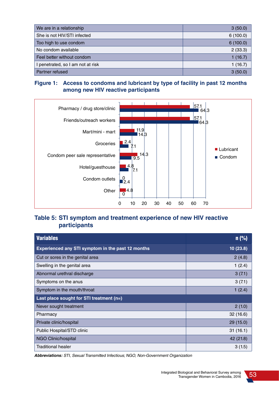| We are in a relationship          | 3(50.0)  |
|-----------------------------------|----------|
| She is not HIV/STI infected       | 6(100.0) |
| Too high to use condom            | 6(100.0) |
| No condom available               | 2(33.3)  |
| Feel better without condom        | 1(16.7)  |
| I penetrated, so I am not at risk | 1(16.7)  |
| Partner refused                   | 3(50.0)  |

### **Figure 1: Access to condoms and lubricant by type of facility in past 12 months among new HIV reactive participants**



### **Table 5: STI symptom and treatment experience of new HIV reactive participants**

| <b>Variables</b>                                  | $n$ (%)   |
|---------------------------------------------------|-----------|
| Experienced any STI symptom in the past 12 months | 10(23.8)  |
| Cut or sores in the genital area                  | 2(4.8)    |
| Swelling in the genital area                      | 1(2.4)    |
| Abnormal urethral discharge                       | 3(7.1)    |
| Symptoms on the anus                              | 3(7.1)    |
| Symptom in the mouth/throat                       | 1(2.4)    |
| Last place sought for STI treatment $(n=)$        |           |
| Never sought treatment                            | 2(1.0)    |
| Pharmacy                                          | 32(16.6)  |
| Private clinic/hospital                           | 29(15.0)  |
| Public Hospital/STD clinic                        | 31(16.1)  |
| NGO Clinic/hospital                               | 42 (21.8) |
| <b>Traditional healer</b>                         | 3(1.5)    |

**Abbreviations:** STI, Sexual Transmitted Infectious; NGO, Non-Government Organization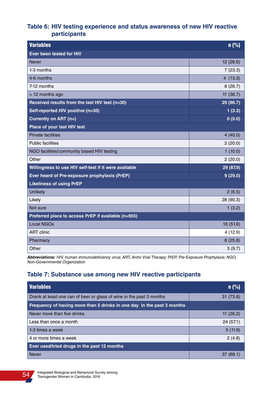### **Table 6: HIV testing experience and status awareness of new HIV reactive participants**

| <b>Variables</b>                                      | n(%)      |
|-------------------------------------------------------|-----------|
| Ever been tested for HIV                              |           |
| <b>Never</b>                                          | 12 (28.6) |
| 1-3 months                                            | 7(23.3)   |
| 4-6 months                                            | 4(13.3)   |
| 7-12 months                                           | 8(26.7)   |
| > 12 months ago                                       | 11(36.7)  |
| Received results from the last HIV test (n=30)        | 29 (96.7) |
| Self-reported HIV positive (n=30)                     | 1(3.3)    |
| Currently on ART (n=)                                 | 0(0.0)    |
| Place of your last HIV test                           |           |
| <b>Private facilities</b>                             | 4(40.0)   |
| <b>Public facilities</b>                              | 2(20.0)   |
| NGO facilities/community based HIV testing            | 1(10.0)   |
| Other                                                 | 2(20.0)   |
| Willingness to use HIV self-test if it were available | 29 (87.9) |
| Ever heard of Pre-exposure prophylaxis (PrEP)         | 9(29.0)   |
| <b>Likeliness of using PrEP</b>                       |           |
| Unlikely                                              | 2(6.5)    |
| Likely                                                | 28 (90.3) |
| Not sure                                              | 1(3.2)    |
| Preferred place to access PrEP if available (n=955)   |           |
| <b>Local NGOs</b>                                     | 16 (51.6) |
| <b>ART</b> clinic                                     | 4(12.9)   |
| Pharmacy                                              | 8(25.8)   |
| Other                                                 | 3(9.7)    |

**Abbreviations:** HIV, human immunodeficiency virus; ART, Antro Viral Therapy; PrEP, Pre-Exposure Prophylaxis; NGO, Non-Governmental Organization

# **Table 7: Substance use among new HIV reactive participants**

| <b>Variables</b>                                                       | $n$ (%)     |
|------------------------------------------------------------------------|-------------|
| Drank at least one can of beer or glass of wine in the past 3 months   | 31(73.8)    |
| Frequency of having more than 5 drinks in one day in the past 3 months |             |
| Never more than five drinks                                            | 11 $(26.2)$ |
| Less than once a month                                                 | 24 (57.1)   |
| 1-3 times a week                                                       | 5(11.9)     |
| 4 or more times a week                                                 | 2(4.8)      |
| Ever used/tried drugs in the past 12 months                            |             |
| <b>Never</b>                                                           | 37 (88.1)   |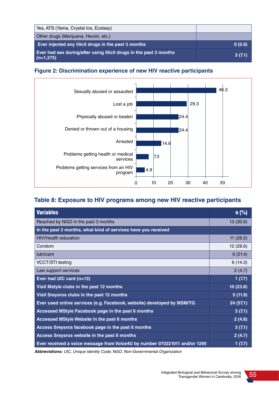| Yes, ATS (Yama, Crystal Ice, Ecstasy)                                             |        |
|-----------------------------------------------------------------------------------|--------|
| Other drugs (Marijuana, Heroin, etc.)                                             |        |
| Ever injected any illicit drugs in the past 3 months                              | 0(0.0) |
| Ever had sex during/after using illicit drugs in the past 3 months<br>$(n=1,375)$ | 3(7.1) |





## **Table 8: Exposure to HIV programs among new HIV reactive participants**

| <b>Variables</b>                                                           | $n$ (%)   |
|----------------------------------------------------------------------------|-----------|
| Reached by NGO in the past 3 months                                        | 13(30.9)  |
| In the past 3 months, what kind of services have you received              |           |
| <b>HIV/Health education</b>                                                | 11(26.2)  |
| Condom                                                                     | 12(28.6)  |
| <b>lubricant</b>                                                           | 9(21.4)   |
| <b>VCCT/STI</b> testing                                                    | 6(14.3)   |
| Law support services                                                       | 2(4.7)    |
| Ever had UIC card (n=13)                                                   | 1(7.7)    |
| Visit Mstyle clubs in the past 12 months                                   | 10(23.8)  |
| Visit Sreysros clubs in the past 12 months                                 | 5(11.9)   |
| Ever used online services (e.g. Facebook, website) developed by MSM/TG     | 24 (57.1) |
| Accessed MStyle Facebook page in the past 6 months                         | 3(7.1)    |
| Accessed MStyle Website in the past 6 months                               | 2(4.8)    |
| Access Sreysros facebook page in the past 6 months                         | 3(7.1)    |
| Access Sreysros website in the past 6 months                               | 2(4.7)    |
| Ever received a voice message from Voice4U by number 070221011 and/or 1295 | 1 (7.7)   |

**Abbreviations:** UIC, Unique Identity Code; NGO, Non-Governmental Organization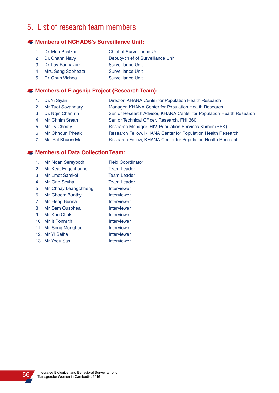# 5. List of research team members

#### **Members of NCHADS's Surveillance Unit:**

- 
- 1. Dr. Mun Phalkun : Chief of Surveillance Unit
- 2. Dr. Chann Navy : Deputy-chief of Surveillance Unit
- 3. Dr. Lay Panhavorn : Surveillance Unit
- 4. Mrs. Seng Sopheata : Surveillance Unit
- 5. Dr. Chun Vichea : Surveillance Unit

#### **Members of Flagship Project (Research Team):**

- 
- 1. Dr. Yi Siyan : Director, KHANA Center for Population Health Research
- 2. Mr. Tuot Sovannary : Manager, KHANA Center for Population Health Research
- 3. Dr. Ngin Chanrith : Senior Research Advisor, KHANA Center for Population Health Research
- 4. Mr. Chhim Srean : Senior Technical Officer, Research, FHI 360
- 
- 5. Mr. Ly Cheaty : Research Manager: HIV, Population Services Khmer (PSK)
- 6. Mr. Chhoun Pheak : Research Fellow, KHANA Center for Population Health Research 7. Ms. Pal Khuondyla : Research Fellow, KHANA Center for Population Health Research

#### **Members of Data Collection Team:**

- 1. Mr. Noan Sereyboth : Field Coordinator
- 2. Mr. Keat Engchhoung : Team Leader
- 3. Mr. Lmot Samkol : Team Leader
- 4. Mr. Ong Seyha : Team Leader
- 5. Mr. Chhay Leangchheng : Interviewer
- 6. Mr. Choem Bunthy : Interviewer
- 7. Mr. Heng Bunna : Interviewer
- 8. Mr. Sam Ousphea : Interviewer
- 9. Mr. Kuo Chak : Interviewer
- 10. Mr. It Ponnrith : Interviewer
- 11. Mr. Seng Menghuor : Interviewer
- 12. Mr. Yi Seiha : Interviewer
- 13. Mr. Yoeu Sas : Interviewer
- 
- 
- 
- 
- 
- 
- 
- 
-